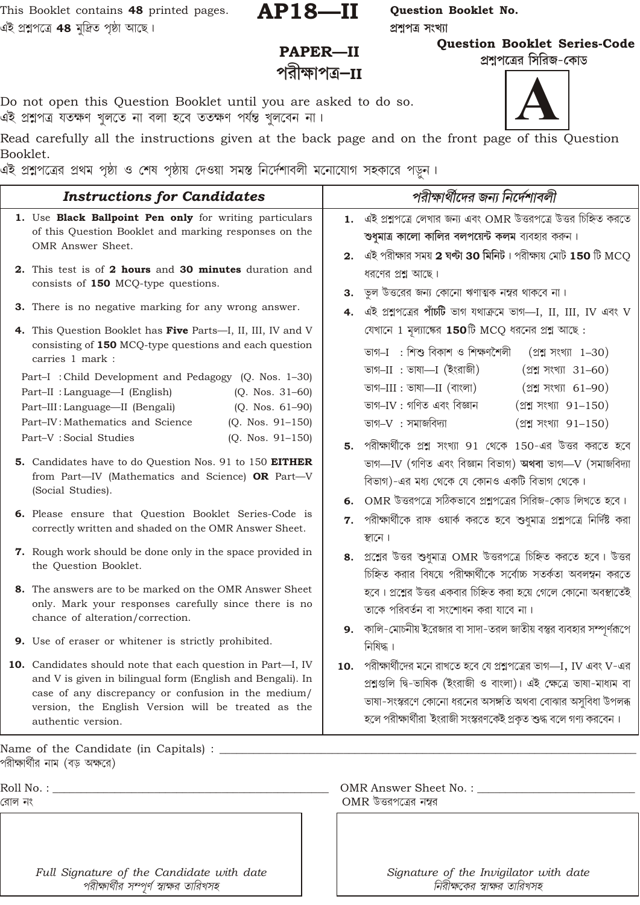This Booklet contains 48 printed pages. এই প্ৰশ্নলৈ **48** মুদ্ৰিত পৃষ্ঠা আছে।

 $AP18 - II$ 

প্ৰশ্নপত্ৰ সংখ্যা

Question Booklet No.

**Question Booklet Series-Code** 

PAPER-II পরীক্ষাপত্র $-$ II

প্রশ্নপত্রের সিরিজ-কোড

Do not open this Question Booklet until you are asked to do so. এই প্ৰশ্নুপত্ৰ যতক্ষণ খুলতে না বলা হবে ততক্ষণ পৰ্যন্ত খুলবেন না।

Read carefully all the instructions given at the back page and on the front page of this Question Booklet.

এই প্রশ্নপত্রের প্রথম পৃষ্ঠা ও শেষ পৃষ্ঠায় দেওয়া সমস্ত নির্দেশাবলী মনোযোগ সহকারে পড়ন।

| <b>Instructions for Candidates</b>                                                                                                                                                                                                                                                                                                                                                                                                                                                                                                          | পরীক্ষার্থীদের জন্য নির্দেশাবলী                                                                                                                                                                                                                                                                                                                                                                                                                                                                                                                 |
|---------------------------------------------------------------------------------------------------------------------------------------------------------------------------------------------------------------------------------------------------------------------------------------------------------------------------------------------------------------------------------------------------------------------------------------------------------------------------------------------------------------------------------------------|-------------------------------------------------------------------------------------------------------------------------------------------------------------------------------------------------------------------------------------------------------------------------------------------------------------------------------------------------------------------------------------------------------------------------------------------------------------------------------------------------------------------------------------------------|
| 1. Use Black Ballpoint Pen only for writing particulars<br>of this Question Booklet and marking responses on the<br>OMR Answer Sheet.<br>2. This test is of 2 hours and 30 minutes duration and<br>consists of 150 MCQ-type questions.<br>3. There is no negative marking for any wrong answer.                                                                                                                                                                                                                                             | $1.$ এই প্রশ্নপত্রে লেখার জন্য এবং OMR উত্তরপত্রে উত্তর চিহ্নিত করতে<br>শুধুমাত্র কালো কালির বলপয়েন্ট কলম ব্যবহার করুন।<br>2. এই পরীক্ষার সময় 2 ঘণ্টা 30 মিনিট। পরীক্ষায় মোট 150 টি MCQ<br>ধরণের প্রশ্ন আছে।<br>$3.$ ড়ল উত্তরের জন্য কোনো ঋণাত্মক নম্বর থাকবে না।                                                                                                                                                                                                                                                                           |
| 4. This Question Booklet has Five Parts-I, II, III, IV and V<br>consisting of 150 MCQ-type questions and each question<br>carries 1 mark :<br>Part-I: Child Development and Pedagogy (Q. Nos. 1-30)<br>$(Q. Nos. 31-60)$<br>Part-II : Language-I (English)<br>$(Q. Nos. 61-90)$<br>Part-III: Language-II (Bengali)<br>$(Q. Nos. 91-150)$<br>Part–IV: Mathematics and Science<br>Part-V: Social Studies<br>$(Q. Nos. 91-150)$<br>5. Candidates have to do Question Nos. 91 to 150 EITHER<br>from Part-IV (Mathematics and Science) OR Part-V | এই প্রশ্নবের পাঁচটি ভাগ যথাক্রমে ভাগ—I, II, III, IV এবং V<br>যেখানে 1 মূল্যাঙ্কের 150টি MCQ ধরনের প্রশ্ন আছে:<br>ভাগ-I : শিশু বিকাশ ও শিক্ষণশৈলী<br>$(22 \text{ N})$ সংখ্যা 1-30)<br>ভাগ–II : ভাষা—I (ইংরাজী)<br>$(22)$ সংখ্যা 31-60)<br>ভাগ $-III$ : ভাষা— $II$ (বাংলা)<br>(প্রশ্ন সংখ্যা 61-90)<br>ভাগ-IV : গণিত এবং বিজ্ঞান<br>$(22)$ সংখ্যা 91-150)<br>ভাগ $-V$ : সমাজবিদ্যা<br>$(2217788)$ 91-150)<br>5. পরীক্ষার্থীকে প্রশ্ন সংখ্যা 91 থেকে 150-এর উত্তর করতে হবে<br>ভাগ-IV (গণিত এবং বিজ্ঞান বিভাগ) অথবা ভাগ-V (সমাজবিদ্যা               |
| (Social Studies).<br><b>6.</b> Please ensure that Question Booklet Series-Code is<br>correctly written and shaded on the OMR Answer Sheet.<br><b>7.</b> Rough work should be done only in the space provided in<br>the Question Booklet.<br>8. The answers are to be marked on the OMR Answer Sheet<br>only. Mark your responses carefully since there is no<br>chance of alteration/correction.<br>9. Use of eraser or whitener is strictly prohibited.                                                                                    | বিভাগ)-এর মধ্য থেকে যে কোনও একটি বিভাগ থেকে।<br>6. OMR উত্তরপত্রে সঠিকভাবে প্রশ্নপত্রের সিরিজ-কোড লিখতে হবে।<br>পরীক্ষার্থীকে রাফ ওয়ার্ক করতে হবে শুধুমাত্র প্রশ্নপত্রে নির্দিষ্ট করা<br>7.<br>স্থানে।<br>8. প্রশ্নের উত্তর শুধুমাত্র OMR উত্তরপত্রে চিহ্নিত করতে হবে। উত্তর<br>চিহ্নিত করার বিষয়ে পরীক্ষার্থীকে সর্বোচ্চ সতর্কতা অবলম্বন করতে<br>হবে। প্রশ্নের উত্তর একবার চিহ্নিত করা হয়ে গেলে কোনো অবস্থাতেই<br>তাকে পরিবর্তন বা সংশোধন করা যাবে না।<br>9. কালি-মোচনীয় ইরেজার বা সাদা-তরল জাতীয় বস্তুর ব্যবহার সম্পূর্ণরূপে<br>নিষিদ্ধ। |
| 10. Candidates should note that each question in Part-I, IV<br>and V is given in bilingual form (English and Bengali). In<br>case of any discrepancy or confusion in the medium/<br>version, the English Version will be treated as the<br>authentic version.                                                                                                                                                                                                                                                                               | $10.$ পরীক্ষার্থীদের মনে রাখতে হবে যে প্রশ্নপত্রের ভাগ—I, IV এবং V-এর<br>প্ৰশ্নগুলি দ্বি-ভাষিক (ইংরাজী ও বাংলা)। এই ক্ষেত্রে ভাষা-মাধ্যম বা<br>ভাষা-সংস্করণে কোনো ধরনের অসঙ্গতি অথবা বোঝার অসুবিধা উপলব্ধ<br>হলে পরীক্ষার্থীরা 'ইংরাজী সংস্করণকেই প্রকৃত শুদ্ধ বলে গণ্য করবেন।                                                                                                                                                                                                                                                                  |
| Name of the Candidate (in Capitals) : ____________                                                                                                                                                                                                                                                                                                                                                                                                                                                                                          |                                                                                                                                                                                                                                                                                                                                                                                                                                                                                                                                                 |
| পরীক্ষার্থীর নাম (বড় অক্ষরে)                                                                                                                                                                                                                                                                                                                                                                                                                                                                                                               |                                                                                                                                                                                                                                                                                                                                                                                                                                                                                                                                                 |
| Roll No. : and the Roll No. :<br>রোল নং                                                                                                                                                                                                                                                                                                                                                                                                                                                                                                     | OMR উত্তরপত্রের নম্বর                                                                                                                                                                                                                                                                                                                                                                                                                                                                                                                           |
|                                                                                                                                                                                                                                                                                                                                                                                                                                                                                                                                             |                                                                                                                                                                                                                                                                                                                                                                                                                                                                                                                                                 |

Full Signature of the Candidate with date পরীক্ষার্থীর সম্পূর্ণ স্বাক্ষর তারিখসহ

Signature of the Invigilator with date নিরীক্ষকের স্বাক্ষর তারিখসহ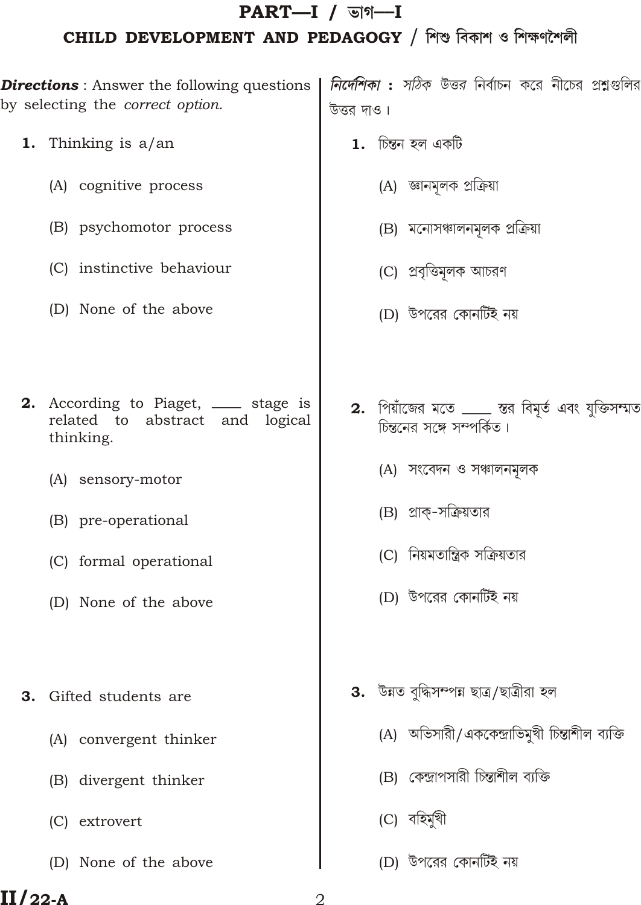# $PART-I /$   $\triangledown$   $\blacksquare$ CHILD DEVELOPMENT AND PEDAGOGY / শিশু বিকাশ ও শিক্ষণশৈলী

by selecting the correct option.

- 1. Thinking is  $a$ /an
	- (A) cognitive process
	- (B) psychomotor process
	- (C) instinctive behaviour
	- (D) None of the above
- 2. According to Piaget, \_\_\_ stage is related to abstract and logical thinking.
	- (A) sensory-motor
	- (B) pre-operational
	- (C) formal operational
	- (D) None of the above
- **3.** Gifted students are
	- (A) convergent thinker
	- (B) divergent thinker
	- (C) extrovert
	- (D) None of the above

Directions : Answer the following questions | *নির্দেশিকা* : *সঠিক উত্তর* নির্বাচন করে নীচের প্রশ্নগুলির উত্তর দাও।

- $\mathbf 1.$  চিন্তন হল একটি
	- (A) জ্ঞানমূলক প্রক্রিয়া
	- (B) মনোসঞ্চালনমূলক প্ৰক্ৰিয়া
	- (C) প্রবৃত্তিমূলক আচরণ
	- (D) উপরের কোনর্টিই নয়
- 2. পিয়াঁজের মতে <u>.....</u> স্তর বিমৃর্ত এবং যুক্তিসম্মত চিন্তনের সঙ্গে সম্পর্কিত।
	- (A) সংবেদন ও সঞ্চালনমূলক
	- (B) প্রাক্-সক্রিয়তার
	- (C) নিয়মতান্ত্রিক সক্রিয়তার
	- (D) উপরের কোনর্টিই নয়
- 3. উন্নত বৃদ্ধিসম্পন্ন ছাত্ৰ/ছাত্ৰীরা হল
	- (A) অভিসারী/এককেন্দ্রাভিমুখী চিন্তাশীল ব্যক্তি
	- (B) কেন্দ্রাপসারী চিন্তাশীল ব্যক্তি
	- (C) বহিমৰী
	- (D) উপরের কোনর্টিই নয়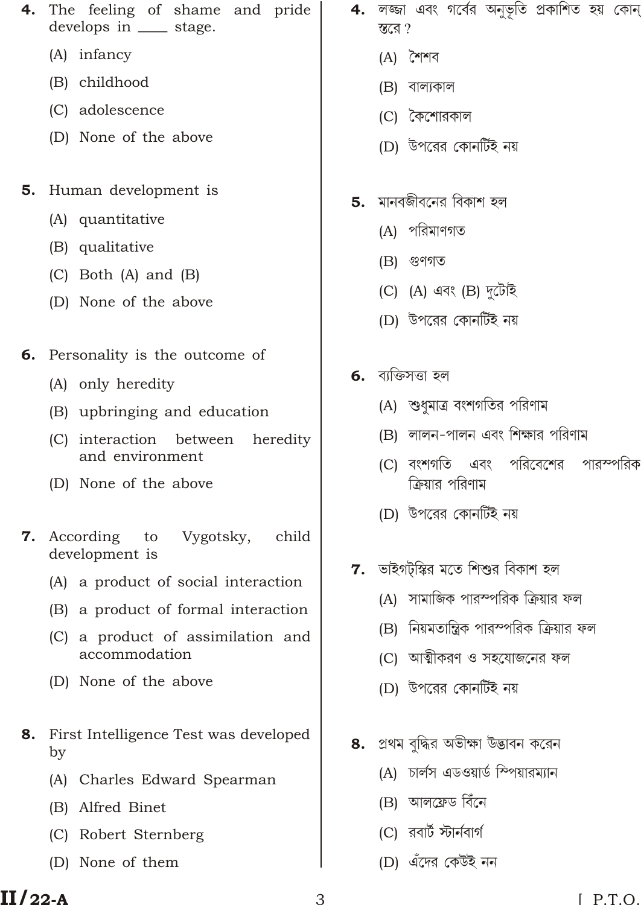- (A) infancy
- (B) childhood
- (C) adolescence
- (D) None of the above
- 5. Human development is
	- (A) quantitative
	- (B) qualitative
	- $(C)$  Both  $(A)$  and  $(B)$
	- (D) None of the above
- 6. Personality is the outcome of
	- (A) only heredity
	- (B) upbringing and education
	- (C) interaction between heredity and environment
	- (D) None of the above
- 7. According Vygotsky, to child development is
	- (A) a product of social interaction
	- (B) a product of formal interaction
	- (C) a product of assimilation and accommodation
	- (D) None of the above
- First Intelligence Test was developed 8. by
	- (A) Charles Edward Spearman
	- (B) Alfred Binet
	- (C) Robert Sternberg
	- (D) None of them
- 4. লজ্জা এবং গর্বের অনুভূতি প্রকাশিত হয় কোন স্তরে?
	- $(A)$  শৈশব
	- $(B)$  বাল্যকাল
	- (C) কৈশোরকাল
	- (D) উপরের কোনর্টিই নয়
- $5.$  মানবজীবনের বিকাশ হল
	- (A) পরিমাণগত
	- $(B)$  গুণগত
	- (C)  $(A)$  এবং  $(B)$  দুটোই
	- (D) উপরের কোনর্টিই নয়
- **6.** ব্যক্তিসত্তা হল
	- (A) শুধমাত্র বংশগতির পরিণাম
	- (B) লালন-পালন এবং শিক্ষার পরিণাম
	- (C) বংশগতি এবং পরিবেশের পারস্পরিক ক্রিয়ার পরিণাম
	- (D) উপরের কোনর্টিই নয়
- $7.$  ভাইগট্স্কির মতে শিশুর বিকাশ হল
	- (A) সামাজিক পারস্পরিক ক্রিয়ার ফল
	- (B) নিয়মতান্ত্রিক পারস্পরিক ক্রিয়ার ফল
	- (C) আত্মীকরণ ও সহযোজনের ফল
	- (D) উপরের কোনর্টিই নয়
- 8. প্রথম বৃদ্ধির অভীক্ষা উদ্ভাবন করেন
	- (A) চাৰ্লস এডওয়ার্ড স্পিয়ারম্যান
	- (B) আলফ্ৰেড বিঁনে
	- $(C)$  রবার্ট স্টার্নবার্গ
	- (D) এঁদের কেউই নন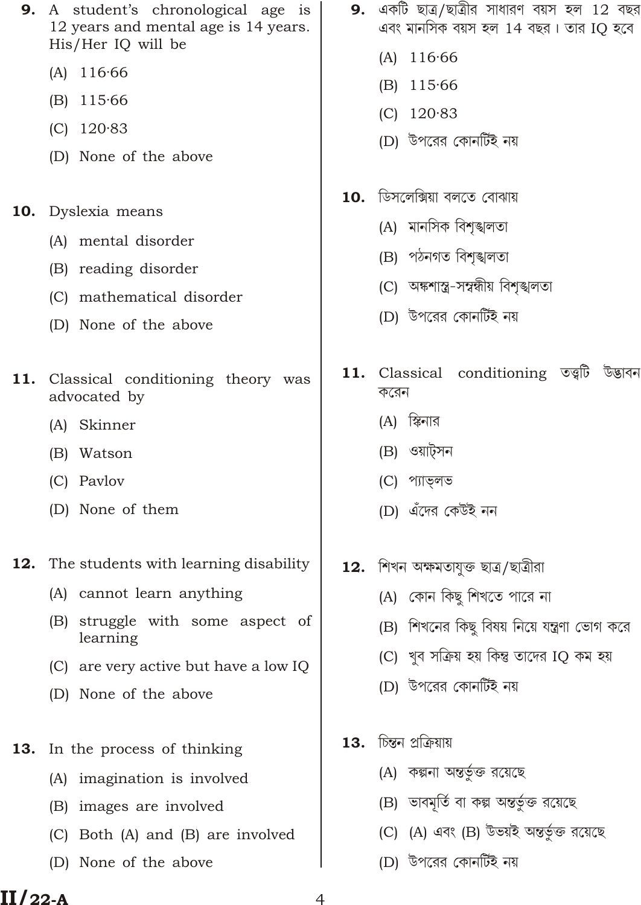| 9.  | A student's chronological age is<br>12 years and mental age is 14 years.<br>His/Her IQ will be | 9.  | একটি ছাত্র/ছাত্রীর সাধারণ বয়স হল 12 বছর<br>এবং মানসিক বয়স হল 14 বছর। তার IQ হবে |
|-----|------------------------------------------------------------------------------------------------|-----|-----------------------------------------------------------------------------------|
|     | 116.66<br>(A)                                                                                  |     | $(A)$ 116.66                                                                      |
|     | (B)<br>115.66                                                                                  |     | $(B)$ 115.66                                                                      |
|     | (C)<br>120.83                                                                                  |     | $(C)$ 120.83                                                                      |
|     | (D) None of the above                                                                          |     | (D) উপরের কোনর্টিই নয়                                                            |
| 10. | Dyslexia means                                                                                 |     | $\bf 10.$ ডিসলেক্সিয়া বলতে বোঝায়                                                |
|     |                                                                                                |     | (A) মানসিক বিশৃঙ্খলতা                                                             |
|     | (A) mental disorder                                                                            |     | (B) পঠনগত বিশৃঙ্খলতা                                                              |
|     | (B) reading disorder                                                                           |     | (C) অঙ্কশাস্ত্র-সম্বন্ধীয় বিশৃঙ্খলতা                                             |
|     | (C) mathematical disorder<br>(D) None of the above                                             |     | (D) উপরের কোনর্টিই নয়                                                            |
| 11. | Classical conditioning theory was<br>advocated by                                              |     | 11. Classical conditioning তত্ত্বটি উদ্ভাবন<br>করেন                               |
|     | (A) Skinner                                                                                    |     | (A) স্কিনার                                                                       |
|     | (B) Watson                                                                                     |     | (B) ওয়াট্সন                                                                      |
|     | (C) Pavlov                                                                                     |     | (C) প্যাভ্লভ                                                                      |
|     | (D) None of them                                                                               |     | (D) এঁদের কেউই নন                                                                 |
|     |                                                                                                |     |                                                                                   |
| 12. | The students with learning disability                                                          |     | 12.  শিখন অক্ষমতাযুক্ত ছাত্ৰ/ছাত্ৰীরা                                             |
|     | (A) cannot learn anything                                                                      |     | (A) কোন কিছু শিখতে পারে না                                                        |
|     | struggle with some aspect of<br>(B)<br>learning                                                |     | (B)  শিখনের কিছু বিষয় নিয়ে যন্ত্রণা ভোগ করে                                     |
|     | (C) are very active but have a low IQ                                                          |     | (C) খুব সক্ৰিয় হয় কিন্তু তাদের IQ কম হয়                                        |
|     | (D) None of the above                                                                          |     | (D) উপরের কোনর্টিই নয়                                                            |
| 13. | In the process of thinking                                                                     | 13. | চিন্তন প্ৰক্ৰিয়ায়                                                               |
|     | imagination is involved<br>(A)                                                                 |     | (A) কল্পনা অন্তর্ভুক্ত রয়েছে                                                     |
|     | images are involved<br>(B)                                                                     |     | (B) ভাবমূর্তি বা কল্প অন্তর্ভুক্ত রয়েছে                                          |
|     | Both (A) and (B) are involved<br>(C)                                                           |     | (C) (A) এবং (B) উভয়ই অন্তর্ভুক্ত রয়েছে                                          |
|     | None of the above<br>(D)                                                                       |     | (D) উপরের কোনর্টিই নয়                                                            |

 $\overline{4}$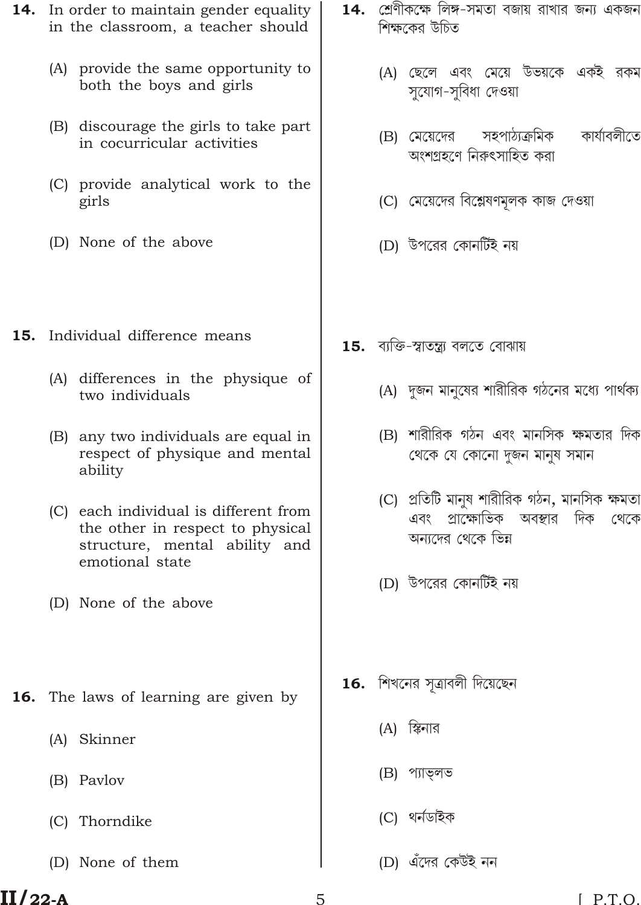- **14.** In order to maintain gender equality in the classroom, a teacher should
	- (A) provide the same opportunity to both the boys and girls
	- (B) discourage the girls to take part in cocurricular activities
	- (C) provide analytical work to the girls
	- (D) None of the above
- **15.** Individual difference means
	- (A) differences in the physique of two individuals
	- (B) any two individuals are equal in respect of physique and mental ability
	- (C) each individual is different from the other in respect to physical structure, mental ability and emotional state
	- (D) None of the above
- **16.** The laws of learning are given by
	- (A) Skinner
	- (B) Paylov
	- (C) Thorndike
	- (D) None of them
- **14. গ্রে**ণীকক্ষে লিঙ্গ-সমতা বজায় রাখার জন্য একজন শিক্ষকের উচিত
	- (A) ছেলে এবং মেয়ে উভয়কে একই রকম সুযোগ-সুবিধা দেওয়া
	- কাৰ্যাবলীতে সহপাঠ্যক্ৰমিক (B) মেয়েদের অংশগ্ৰহণে নিরুৎসাহিত করা
	- (C) মেয়েদের বিশ্লেষণমূলক কাজ দেওয়া
	- (D) উপরের কোনর্টিই নয়
- **15.** ব্যক্তি-স্বাতন্ত্ৰ্য বলতে বোঝায়
	- (A) দুজন মানুষের শারীরিক গঠনের মধ্যে পার্থক্য
	- (B) শারীরিক গঠন এবং মানসিক ক্ষমতার দিক থেকে যে কোনো দুজন মানুষ সমান
	- (C) প্ৰতিটি মানুষ শারীরিক গঠন, মানসিক ক্ষমতা এবং প্রাক্ষোভিক অবস্থার দিক থেকে অন্যদের থেকে ভিন্ন
	- (D) উপরের কোনর্টিই নয়
- $16.$  শিখনের সূত্রাবলী দিয়েছেন
	- (A) স্কিনার
	- (B) প্যাভলভ
	- (C) থৰ্নডাইক
	- (D) এঁদের কেউই নন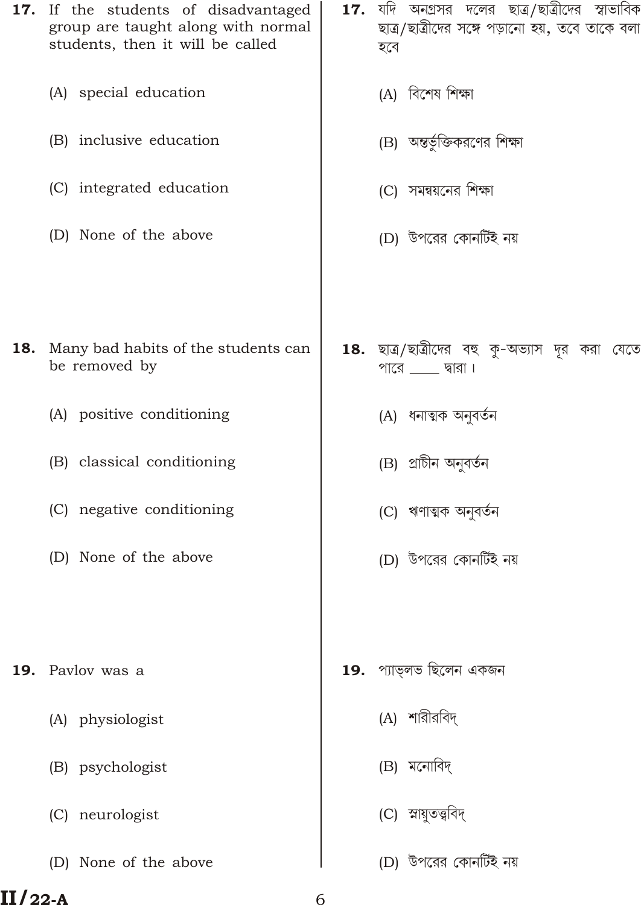|     | 17. If the students of disadvantaged<br>group are taught along with normal<br>students, then it will be called | 17. | যদি অনগ্রসর দলের ছাত্র/ছাত্রীদের স্বাভাবিক<br>ছাত্র/ছাত্রীদের সঙ্গে পড়ানো হয়, তবে তাকে বলা<br>হবে |
|-----|----------------------------------------------------------------------------------------------------------------|-----|-----------------------------------------------------------------------------------------------------|
|     | (A) special education                                                                                          |     | (A) বিশেষ শিক্ষা                                                                                    |
|     | (B) inclusive education                                                                                        |     | (B) অন্তর্ভুক্তিকরণের শিক্ষা                                                                        |
|     | (C) integrated education                                                                                       |     | (C) সমন্বয়নের শিক্ষা                                                                               |
|     | (D) None of the above                                                                                          |     | (D) উপরের কোনর্টিই নয়                                                                              |
|     |                                                                                                                |     |                                                                                                     |
|     |                                                                                                                |     |                                                                                                     |
| 18. | Many bad habits of the students can<br>be removed by                                                           |     | 18. ছাত্র/ছাত্রীদের বহু কু-অভ্যাস দূর করা যেতে<br>পারে $\_\_\_\$ দ্বারা।                            |
|     | (A) positive conditioning                                                                                      |     | (A) ধনাত্মক অনুবৰ্তন                                                                                |
|     | (B) classical conditioning                                                                                     |     | (B) প্রাচীন অনুবর্তন                                                                                |
|     | (C) negative conditioning                                                                                      |     | (C) ঋণাত্মক অনুবৰ্তন                                                                                |
|     | (D) None of the above                                                                                          |     | (D) উপরের কোনর্টিই নয়                                                                              |
|     |                                                                                                                |     |                                                                                                     |
| 19. | Pavlov was a                                                                                                   | 19. | প্যাভ্লভ ছিলেন একজন                                                                                 |
|     |                                                                                                                |     |                                                                                                     |
|     | (A) physiologist                                                                                               |     | (A) শারীরবিদ্                                                                                       |
|     | (B) psychologist                                                                                               |     | (B) মনোবিদ্                                                                                         |
|     | (C) neurologist                                                                                                |     | (C) স্নায়ুতত্ত্ববিদ্                                                                               |
|     | (D) None of the above                                                                                          |     | (D) উপরের কোনর্টিই নয়                                                                              |

6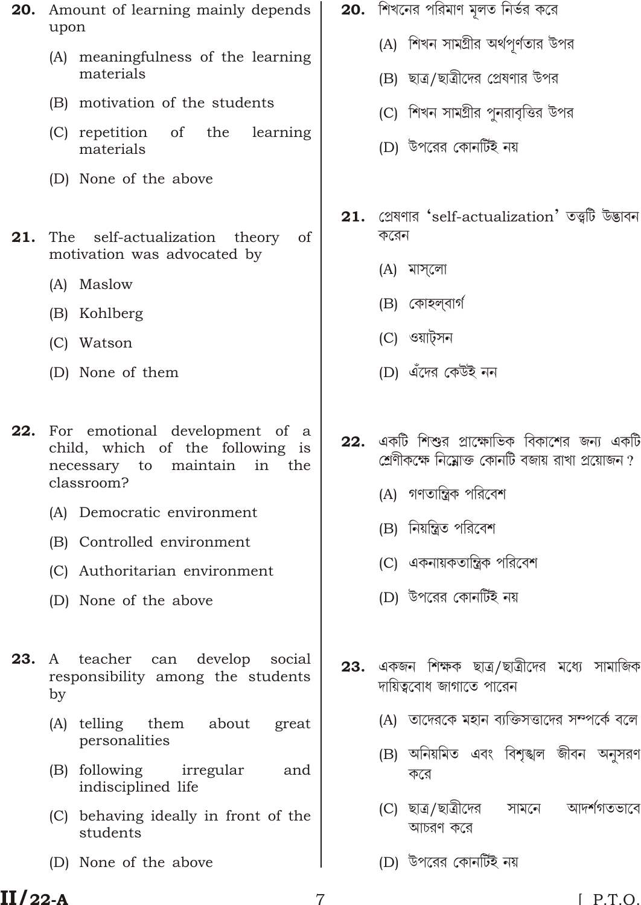- 20. Amount of learning mainly depends upon
	- (A) meaningfulness of the learning materials
	- (B) motivation of the students
	- (C) repetition of the learning materials
	- (D) None of the above
- The self-actualization theory 21. of motivation was advocated by
	- (A) Maslow
	- (B) Kohlberg
	- (C) Watson
	- (D) None of them
- 22. For emotional development of a child, which of the following is necessary to maintain in the classroom?
	- (A) Democratic environment
	- (B) Controlled environment
	- (C) Authoritarian environment
	- (D) None of the above
- teacher can  $23.$ A develop social responsibility among the students by
	- (A) telling them about great personalities
	- (B) following irregular and indisciplined life
	- (C) behaving ideally in front of the students
	- (D) None of the above
- $20.$  শিখনের পরিমাণ মূলত নির্ভর করে
	- (A) শিখন সামগ্ৰীর অর্থপর্ণতার উপর
	- (B) ছাত্র/ছাত্রীদের প্রেষণার উপর
	- (C) শিখন সামগ্রীর পুনরাবৃত্তির উপর
	- (D) উপরের কোনর্টিই নয়
- 21. গ্রেষণার 'self-actualization' তত্ত্বটি উদ্ভাবন করেন
	- (A) মাসলো
	- (B) কোহলবাৰ্গ
	- (C) ওয়াট্সন
	- (D) এঁদের কেউই নন
- একটি শিশুর প্রাক্ষোভিক বিকাশের জন্য একটি  $22.$ শ্রেণীকক্ষে নিম্নোক্ত কোনটি বজায় রাখা প্রয়োজন ?
	- (A) গণতান্ত্রিক পরিবেশ
	- (B) নিয়ন্ত্রিত পরিবেশ
	- (C) একনায়কতান্ত্রিক পরিবেশ
	- (D) উপরের কোনর্টিই নয়
- একজন শিক্ষক ছাত্ৰ/ছাত্ৰীদের মধ্যে সামাজিক 23. দায়িত্ববোধ জাগাতে পারেন
	- (A) তাদেরকে মহান ব্যক্তিসত্তাদের সম্পর্কে বলে
	- (B) অনিয়মিত এবং বিশঙ্খল জীবন অনসরণ করে
	- আদর্শগতভাবে (C) ছাত্ৰ/ছাত্ৰীদের সামনে আচরণ করে
	- (D) উপরের কোনর্টিই নয়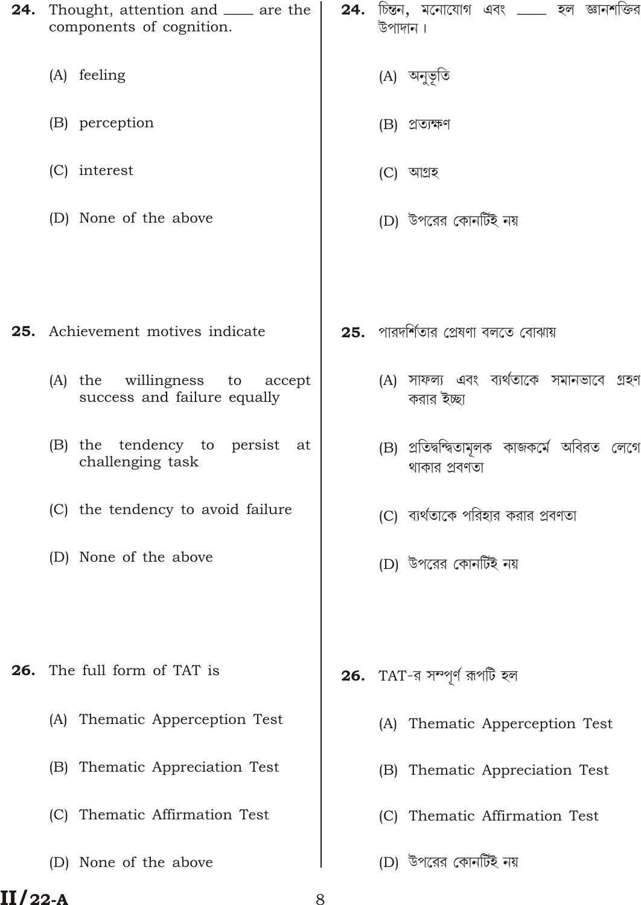| 24. | Thought, attention and ___ are the<br>components of cognition.          | 24. | চি <b>ন্তন, ম</b> নোযোগ এবং ____ হল জ্ঞানশক্তির<br>উপাদান।    |
|-----|-------------------------------------------------------------------------|-----|---------------------------------------------------------------|
|     | (A) feeling                                                             |     | (A) অনুভূতি                                                   |
|     | (B) perception                                                          |     | (B) প্ৰত্যক্ষণ                                                |
|     | (C) interest                                                            |     | (C) আগ্ৰহ                                                     |
|     | (D) None of the above                                                   |     | (D) উপরের কোনর্টিই নয়                                        |
|     |                                                                         |     |                                                               |
|     | 25. Achievement motives indicate                                        |     | <b>25.</b> পারদর্শিতার প্রেষণা বলতে বোঝায়                    |
|     | willingness<br>$(A)$ the<br>to<br>accept<br>success and failure equally |     | (A) সাফল্য এবং ব্যর্থতাকে সমানভাবে গ্রহণ<br>করার ইচ্ছা        |
|     | (B) the tendency to persist at<br>challenging task                      |     | (B) প্ৰতিদ্বন্দ্বিতামূলক কাজকৰ্মে অবিরত লেগে<br>থাকার প্রবণতা |
|     | (C) the tendency to avoid failure                                       |     | (C) ব্যর্থতাকে পরিহার করার প্রবণতা                            |
|     | (D) None of the above                                                   |     | (D) উপরের কোনর্টিই নয়                                        |
|     |                                                                         |     |                                                               |
| 26. | The full form of TAT is                                                 |     | <b>26.</b> TAT-র সম্পূর্ণ রূপটি হল                            |
|     | Thematic Apperception Test<br>(A)                                       |     | Thematic Apperception Test<br>(A)                             |
|     | Thematic Appreciation Test<br>(B)                                       |     | Thematic Appreciation Test<br>(B)                             |
|     | Thematic Affirmation Test<br>(C)                                        |     | Thematic Affirmation Test<br> C                               |
|     | (D) None of the above                                                   |     | (D) উপরের কোনর্টিই নয়                                        |

8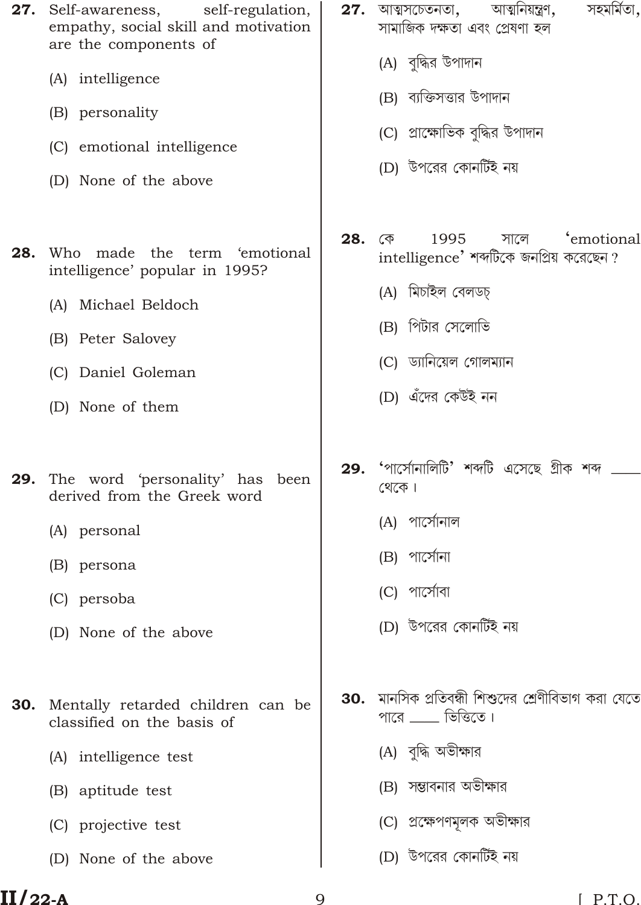- 27. Self-awareness, self-regulation, empathy, social skill and motivation are the components of (A) intelligence (B) personality (C) emotional intelligence (D) None of the above 28. Who made the term 'emotional intelligence' popular in 1995?
	- (A) Michael Beldoch
	- (B) Peter Salovey
	- (C) Daniel Goleman
	- (D) None of them
- The word 'personality' has been 29. derived from the Greek word
	- (A) personal
	- (B) persona
	- (C) persoba
	- (D) None of the above
- Mentally retarded children can be 30. classified on the basis of
	- (A) intelligence test
	- (B) aptitude test
	- (C) projective test
	- (D) None of the above
- $27.$  আত্মসচেতনতা, আত্মনিয়ন্ত্ৰণ, সহমৰ্মিতা. সামাজিক দক্ষতা এবং প্ৰেষণা হল
	- (A) বদ্ধির উপাদান
	- (B) ব্যক্তিসত্তার উপাদান
	- (C) প্রাক্ষোভিক বদ্ধির উপাদান
	- (D) উপরের কোনর্টিই নয়
- 28. কে 1995 সালে 'emotional intelligence' শব্দটিকে জনপ্ৰিয় করেছেন?
	- (A) মিচাইল বেলডচ
	- (B) পিটার সেলোভি
	- (C) ড্যানিয়েল গোলম্যান
	- (D) এঁদের কেউই নন
- 29. 'পাৰ্সোনালিটি' শব্দটি এসেছে গ্ৰীক শব্দ থেকে।
	- (A) পাৰ্সোনাল
	- (B) পার্সোনা
	- (C) পার্সোবা
	- (D) উপরের কোনর্টিই নয়
- **30.** মানসিক প্রতিবন্ধী শিশুদের শ্রেণীবিভাগ করা যেতে পারে  $\rule{1em}{0.15mm}$  ভিত্তিতে।
	- (A) বদ্ধি অভীক্ষার
	- (B) সম্ভাবনার অভীক্ষার
	- (C) প্রক্ষেপণমূলক অভীক্ষার
	- (D) উপরের কোনর্টিই নয়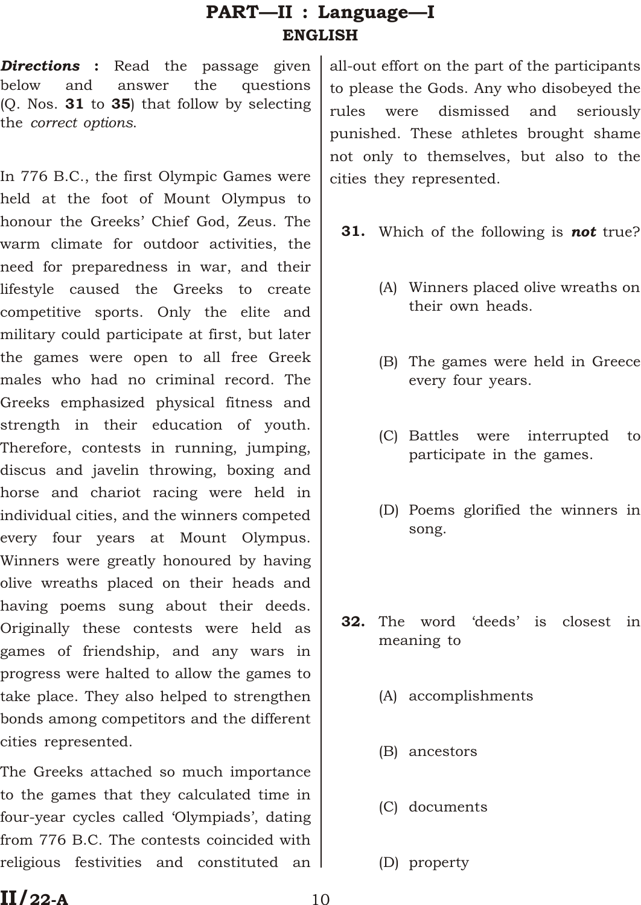# PART—II : Language—I ENGLISH

*Directions* : Read the passage given below and answer the questions  $(Q.$  Nos. **31** to **35**) that follow by selecting the *correct options*.

In 776 B.C., the first Olympic Games were held at the foot of Mount Olympus to honour the Greeks' Chief God, Zeus. The warm climate for outdoor activities, the need for preparedness in war, and their lifestyle caused the Greeks to create competitive sports. Only the elite and military could participate at first, but later the games were open to all free Greek males who had no criminal record. The Greeks emphasized physical fitness and strength in their education of youth. Therefore, contests in running, jumping, discus and javelin throwing, boxing and horse and chariot racing were held in individual cities, and the winners competed every four years at Mount Olympus. Winners were greatly honoured by having olive wreaths placed on their heads and having poems sung about their deeds. Originally these contests were held as games of friendship, and any wars in progress were halted to allow the games to take place. They also helped to strengthen bonds among competitors and the different cities represented.

The Greeks attached so much importance to the games that they calculated time in four-year cycles called 'Olympiads', dating from 776 B.C. The contests coincided with religious festivities and constituted an

all-out effort on the part of the participants to please the Gods. Any who disobeyed the rules were dismissed and seriously punished. These athletes brought shame not only to themselves, but also to the cities they represented.

- 31. Which of the following is *not* true?
	- (A) Winners placed olive wreaths on their own heads.
	- (B) The games were held in Greece every four years.
	- (C) Battles were interrupted to participate in the games.
	- (D) Poems glorified the winners in song.
- 32. The word 'deeds' is closest in meaning to
	- (A) accomplishments
	- (B) ancestors
	- (C) documents
	- (D) property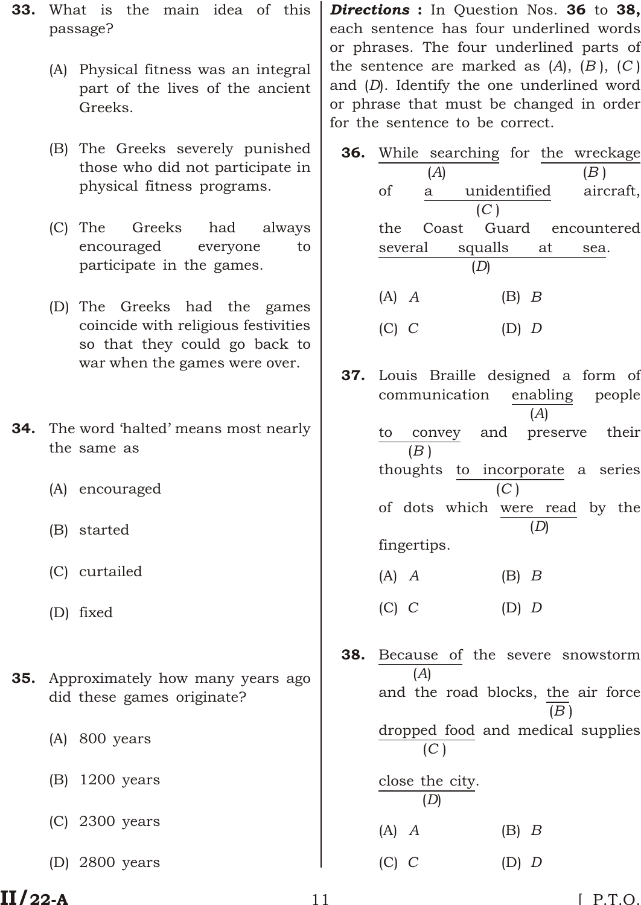- 33. What is the main idea of this passage?
	- (A) Physical fitness was an integral part of the lives of the ancient Greeks.
	- (B) The Greeks severely punished those who did not participate in physical fitness programs.
	- (C) The Greeks had always encouraged everyone to participate in the games.
	- (D) The Greeks had the games coincide with religious festivities so that they could go back to war when the games were over.
- **34.** The word 'halted' means most nearly the same as
	- (A) encouraged
	- (B) started
	- (C) curtailed
	- (D) fixed
- **35.** Approximately how many years ago did these games originate?
	- (A) 800 years
	- (B) 1200 years
	- (C) 2300 years
	- (D) 2800 years

*Directions* : In Question Nos. 36 to 38, each sentence has four underlined words or phrases. The four underlined parts of the sentence are marked as  $(A)$ ,  $(B)$ ,  $(C)$ and (*D*). Identify the one underlined word or phrase that must be changed in order for the sentence to be correct.

|           |     |            |           | 36. While searching for the wreckage |
|-----------|-----|------------|-----------|--------------------------------------|
|           | (A) |            |           | (B)                                  |
| οf        | a   |            |           | unidentified aircraft,               |
|           |     | (C)        |           |                                      |
| the       |     |            |           | Coast Guard encountered              |
| several   |     | squalls at |           | sea.                                 |
|           |     |            |           |                                      |
| $(A)$ $A$ |     |            | $(B)$ $B$ |                                      |
|           |     |            |           |                                      |

- 37. Louis Braille designed a form of communication enabling people (*A*) to convey and preserve their (*B* ) thoughts to incorporate a series (*C* ) of dots which were read by the (*D*) fingertips.
	- (A) *A* (B) *B*
	- (C) *C* (D) *D*
- 38. Because of the severe snowstorm (*A*) and the road blocks, the air force (*B* ) dropped food and medical supplies (*C* ) close the city. (*D*)
	- (A) *A* (B) *B*
		- (C) *C* (D) *D*

# $II/22-A$  11 [ P.T.O.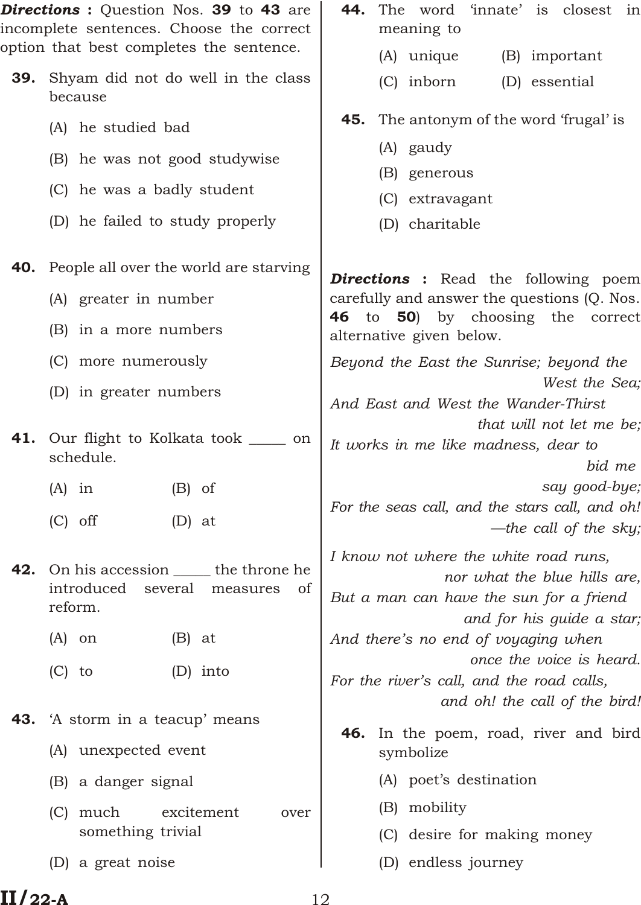*Directions* : Question Nos. 39 to 43 are incomplete sentences. Choose the correct option that best completes the sentence. 39. Shyam did not do well in the class because (A) he studied bad (B) he was not good studywise (C) he was a badly student (D) he failed to study properly **40.** People all over the world are starving (A) greater in number (B) in a more numbers (C) more numerously (D) in greater numbers **41.** Our flight to Kolkata took \_\_\_\_\_\_ on schedule.  $(A)$  in  $(B)$  of  $(C)$  off  $(D)$  at 42. On his accession <u>the</u> the throne he introduced several measures of reform.  $(A)$  on  $(B)$  at (C) to (D) into **43.** 'A storm in a teacup' means (A) unexpected event (B) a danger signal (C) much excitement over something trivial (D) a great noise 44. The word 'innate' is closest in meaning to (A) unique (B) important (C) inborn (D) essential **45.** The antonym of the word 'frugal' is (A) gaudy (B) generous (C) extravagant (D) charitable *Directions* : Read the following poem carefully and answer the questions (Q. Nos. 46 to 50) by choosing the correct alternative given below. *Beyond the East the Sunrise; beyond the West the Sea; And East and West the Wander-Thirst that will not let me be; It works in me like madness, dear to bid me say good-bye; For the seas call, and the stars call, and oh! —the call of the sky; I know not where the white road runs, nor what the blue hills are, But a man can have the sun for a friend and for his guide a star; And there's no end of voyaging when once the voice is heard. For the river's call, and the road calls, and oh! the call of the bird!* 46. In the poem, road, river and bird symbolize (A) poet's destination (B) mobility (C) desire for making money (D) endless journey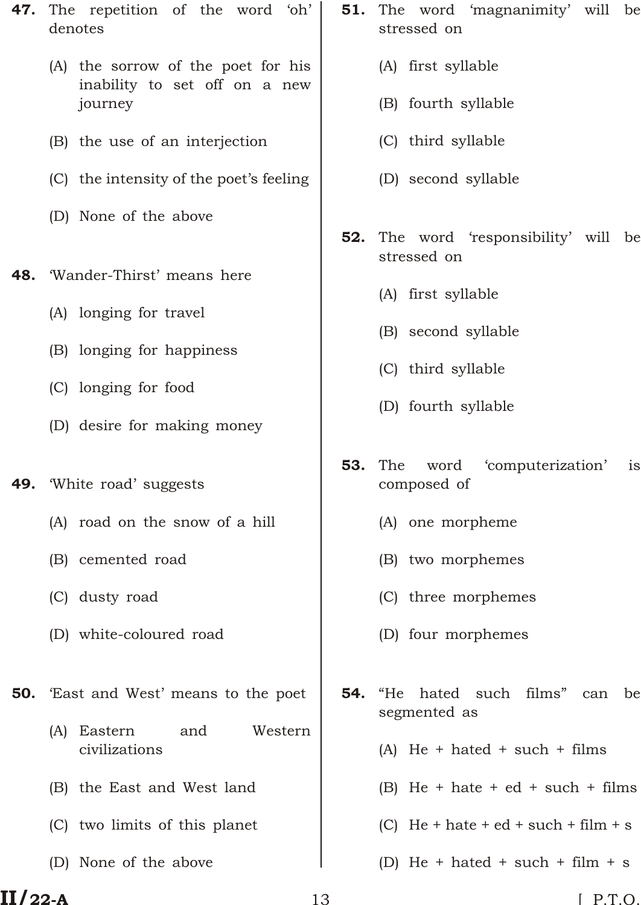- 47. The repetition of the word 'oh' denotes
	- (A) the sorrow of the poet for his inability to set off on a new journey
	- (B) the use of an interjection
	- (C) the intensity of the poet's feeling
	- (D) None of the above
- 48. 'Wander-Thirst' means here
	- (A) longing for travel
	- (B) longing for happiness
	- (C) longing for food
	- (D) desire for making money
- 49. White road' suggests
	- (A) road on the snow of a hill
	- (B) cemented road
	- (C) dusty road
	- (D) white-coloured road

**50.** East and West' means to the poet

- (A) Eastern and Western civilizations
- (B) the East and West land
- (C) two limits of this planet
- (D) None of the above
- **51.** The word 'magnanimity' will be stressed on
	- (A) first syllable
	- (B) fourth syllable
	- (C) third syllable
	- (D) second syllable
- **52.** The word 'responsibility' will be stressed on
	- (A) first syllable
	- (B) second syllable
	- (C) third syllable
	- (D) fourth syllable
- 53. The word 'computerization' is composed of
	- (A) one morpheme
	- (B) two morphemes
	- (C) three morphemes
	- (D) four morphemes
- **54.** "He hated such films" can be segmented as
	- (A) He + hated + such + films
	- (B) He + hate + ed + such + films
	- (C) He + hate + ed + such + film + s
	- (D) He + hated + such + film + s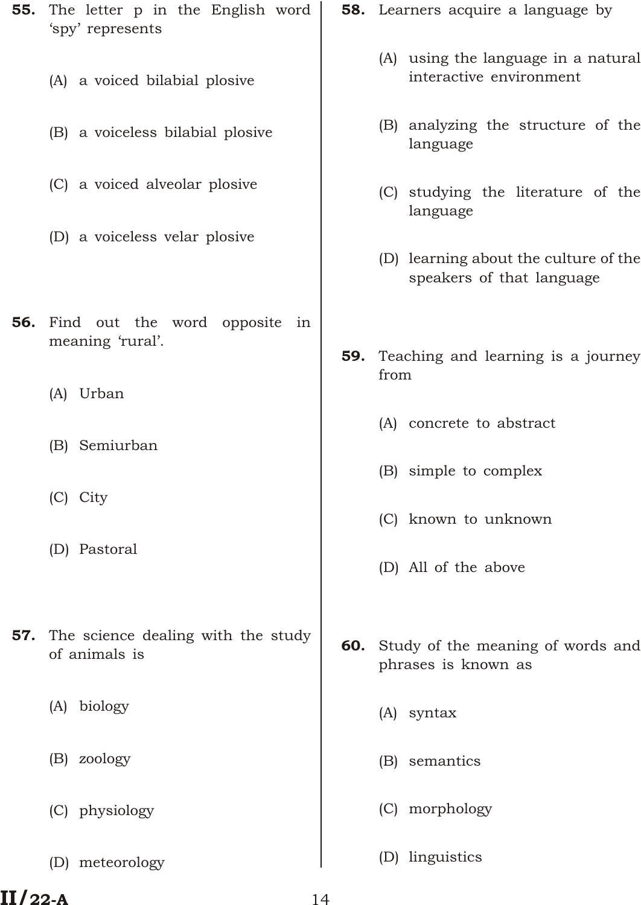55. The letter p in the English word 'spy' represents (A) a voiced bilabial plosive (B) a voiceless bilabial plosive (C) a voiced alveolar plosive (D) a voiceless velar plosive **56.** Find out the word opposite in meaning 'rural'. (A) Urban (B) Semiurban (C) City (D) Pastoral **57.** The science dealing with the study of animals is (A) biology (B) zoology (C) physiology (D) meteorology **58.** Learners acquire a language by (A) using the language in a natural interactive environment (B) analyzing the structure of the language (C) studying the literature of the language (D) learning about the culture of the speakers of that language 59. Teaching and learning is a journey from (A) concrete to abstract (B) simple to complex (C) known to unknown (D) All of the above 60. Study of the meaning of words and phrases is known as (A) syntax (B) semantics (C) morphology (D) linguistics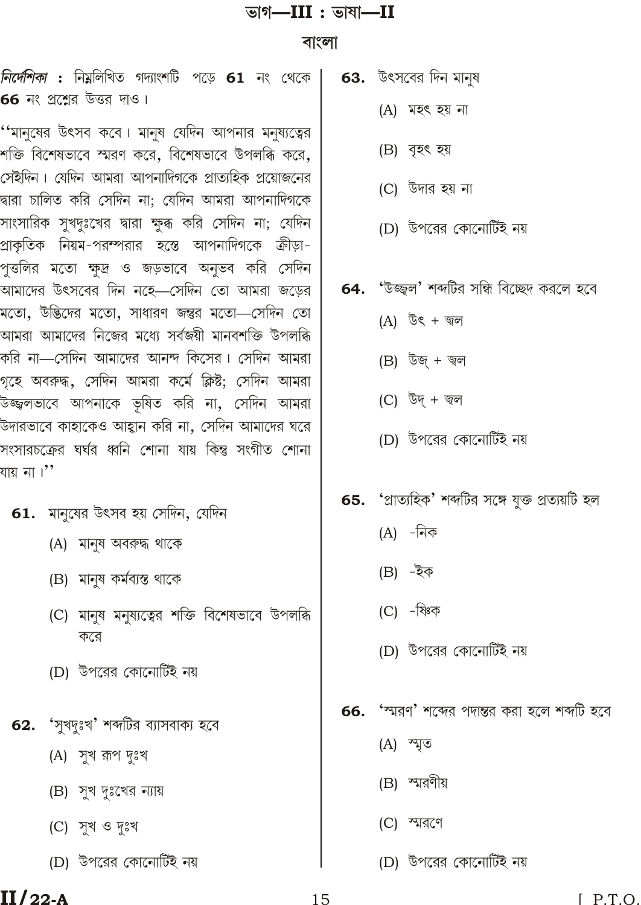## ভাগ— $III:$  ভাষা— $II$

#### বাংলা

*নির্দেশিকা* : নিয়লিখিত গদ্যাংশটি পড়ে 61 নং থেকে 66 নং প্রশ্নের উত্তর দাও।

''মানুষের উৎসব কবে। মানুষ যেদিন আপনার মনুষ্যত্বের শক্তি বিশেষভাবে স্মরণ করে, বিশেষভাবে উপলব্ধি করে, সেইদিন। যেদিন আমরা আপনাদিগকে প্রাত্যহিক প্রয়োজনের দ্বারা চালিত করি সেদিন না; যেদিন আমরা আপনাদিগকে সাংসারিক সুখদুঃখের দ্বারা ক্ষুব্ধ করি সেদিন না; যেদিন প্রাকৃতিক নিয়ম-পরম্পরার হস্তে আপনাদিগকে ক্রীড়া-পুত্তলির মতো ক্ষুদ্র ও জড়ভাবে অনুভব করি সেদিন আমাদের উৎসবের দিন নহে—সেদিন তো আমরা জড়ের মতো, উদ্ভিদের মতো, সাধারণ জন্তুর মতো—সেদিন তো আমরা আমাদের নিজের মধ্যে সর্বজয়ী মানবশক্তি উপলব্ধি করি না—সেদিন আমাদের আনন্দ কিসের। সেদিন আমরা গৃহে অবরুদ্ধ, সেদিন আমরা কর্মে ক্লিষ্ট; সেদিন আমরা উজ্জ্বলভাবে আপনাকে ভূষিত করি না, সেদিন আমরা উদারভাবে কাহাকেও আহ্বান করি না, সেদিন আমাদের ঘরে সংসারচক্রের ঘর্ঘর ধ্বনি শোনা যায় কিন্তু সংগীত শোনা যায় না ।''

#### 61. মানুষের উৎসব হয় সেদিন, যেদিন

- (A) মানুষ অবরুদ্ধ থাকে
- (B) মানুষ কৰ্মব্যস্ত থাকে
- (C) মানুষ মনুষ্যত্বের শক্তি বিশেষভাবে উপলব্ধি করে
- (D) উপরের কোনোর্টিই নয়
- 62. 'সুখদুঃখ' শব্দটির ব্যাসবাক্য হবে
	- (A) সুখ রূপ দুঃখ
	- (B) সুখ দুঃখের ন্যায়
	- (C) সুখ ও দুঃখ
	- (D) উপরের কোনোর্টিই নয়
- **63.** উৎসবের দিন মানুষ
	- (A) মহৎ হয় না
	- (B) বৃহৎ হয়
	- (C) উদার হয় না
	- (D) উপরের কোনোর্টিই নয়
- 64. 'উজ্জ্বল' শব্দটির সন্ধি বিচ্ছেদ করলে হবে
	- (A) উৎ + জ্বল
	- $(B)$  উজ্ + জ্বল
	- (C) উদ্ + জ্বল
	- (D) উপরের কোনোর্টিই নয়
- **65. '**প্রাত্যহিক' শব্দটির সঙ্গে যুক্ত প্রত্যয়টি হল
	- $(A)$  -নিক
	- $(B) \bar{z}$ ক
	- (C) -ষ্ণিক
	- (D) উপরের কোনোর্টিই নয়
- 66. 'স্মরণ' শব্দের পদান্তর করা হলে শব্দটি হবে
	- $(A)$  ম্মৃত
	- (B) স্মরণীয়
	- $(C)$  স্মরণে
	- (D) উপরের কোনোর্টিই নয়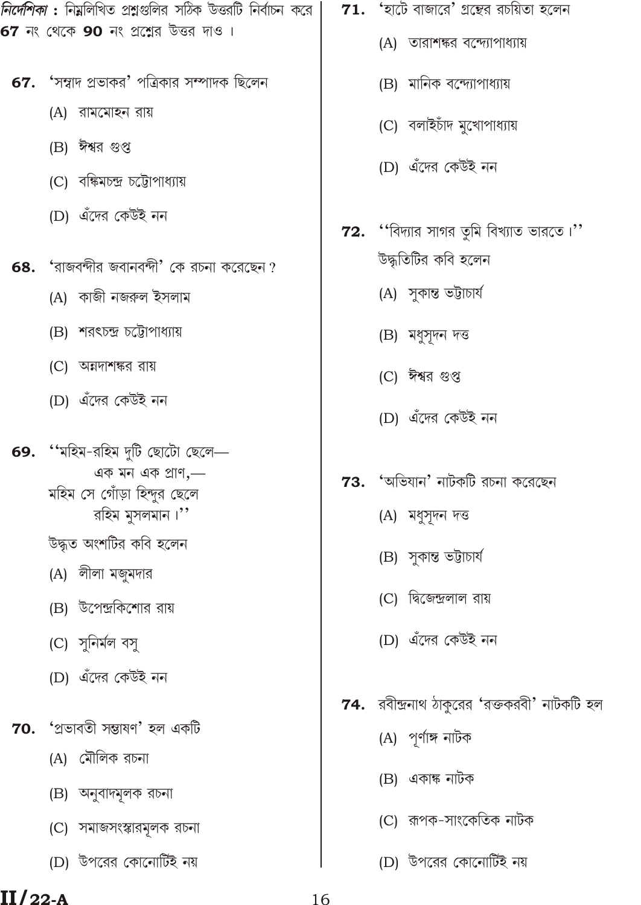*নির্দেশিকা* : নিম্নলিখিত প্রশ্নগুলির সঠিক উত্তরটি নির্বাচন করে 67 নং থেকে 90 নং প্রশ্নের উত্তর দাও।

- 'সম্বাদ প্রভাকর' পত্রিকার সম্পাদক ছিলেন 67.
	- (A) রামমোহন রায়
	- (B) ঈশ্বর গুপ্ত
	- (C) বঙ্কিমচন্দ্ৰ চট্টোপাধ্যায়
	- (D) এঁদের কেউই নন
- 'রাজবন্দীর জবানবন্দী' কে রচনা করেছেন ? 68.
	- (A) কাজী নজরুল ইসলাম
	- (B) শরৎচন্দ্র চট্টোপাধ্যায়
	- (C) অন্নদাশঙ্কর রায়
	- (D) এঁদের কেউই নন
- "মহিম-রহিম দুটি ছোটো ছেলে— 69. এক মন এক প্ৰাণ,-মহিম সে গোঁড়া হিন্দুর ছেলে রহিম মুসলমান।"
	- উদ্ধৃত অংশটির কবি হলেন
	- (A) লীলা মজুমদার
	- (B) উপেন্দ্রকিশোর রায়
	- (C) সুনিৰ্মল বসু
	- (D) এঁদের কেউই নন
- $70.$  'প্ৰভাবতী সম্ভাষণ' হল একটি
	- (A) মৌলিক রচনা
	- (B) অনুবাদমূলক রচনা
	- (C) সমাজসংস্কারমূলক রচনা
	- (D) উপরের কোনোর্টিই নয়
- ${\bf 71.}$  'হাটে বাজারে' গ্রন্থের রচয়িতা হলেন
	- (A) তারাশঙ্কর বন্দ্যোপাধ্যায়
	- (B) মানিক বন্দ্যোপাধ্যায়
	- (C) বলাইচাঁদ মুখোপাধ্যায়
	- (D) এঁদের কেউই নন
- $72.$  "বিদ্যার সাগর তৃমি বিখ্যাত ভারতে।" উদ্ধতিটির কবি হলেন
	- (A) সুকান্ত ভট্টাচাৰ্য
	-
	- (B) মধুসূদন দত্ত
	-
	- (C) ঈশ্বর গুপ্ত
	-

(A) মধুসুদন দত্ত

(B) সুকান্ত ভট্টাচাৰ্য

(C) দ্বিজেন্দ্রলাল রায়

(D) এঁদের কেউই নন

- (D) এঁদের কেউই নন
- 
- $73.$  'অভিযান' নাটকটি রচনা করেছেন
- 
- 
- 
- 
- 

# $II/22-A$

(A) পূর্ণাঙ্গ নাটক

**74.** রবীন্দ্রনাথ ঠাকুরের 'রক্তকরবী' নাটকটি হল

- (B) একাঙ্ক নাটক
- (C) রূপক-সাংকেতিক নাটক
- (D) উপরের কোনোর্টিই নয়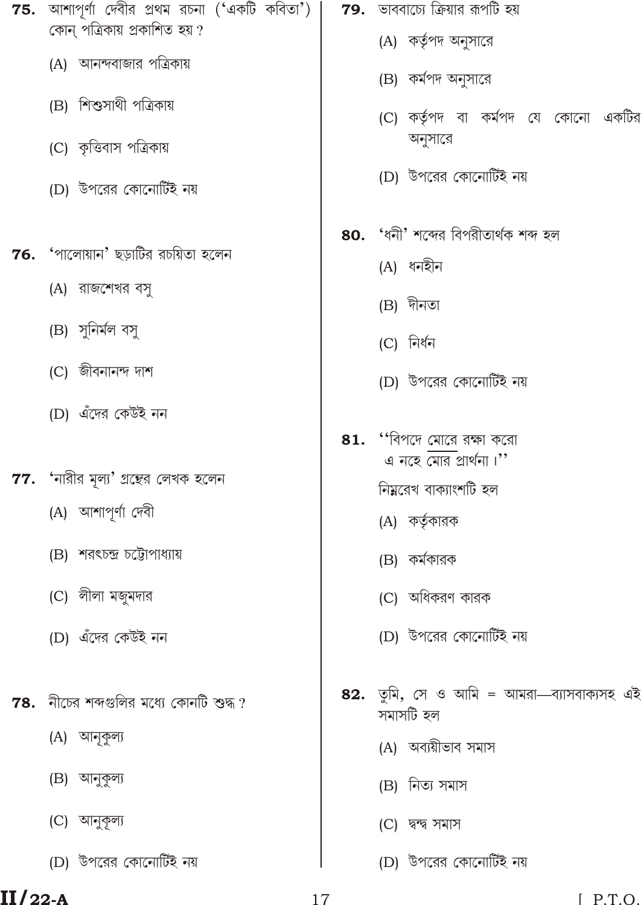$75.$  আশাপূর্ণা দেবীর প্রথম রচনা ('একটি কবিতা') |  $79.$  ভাববাচ্যে ক্রিয়ার রূপটি হয় কোন পত্রিকায় প্রকাশিত হয়? (A) কর্তৃপদ অনুসারে (A) আনন্দবাজার পত্রিকায় (B) কর্মপদ অনুসারে (B) শিশুসাথী পত্রিকায় (C) কর্তৃপদ বা কর্মপদ যে কোনো একটির অনুসারে (C) কৃত্তিবাস পত্রিকায় (D) উপরের কোনোর্টিই নয় (D) উপরের কোনোর্টিই নয় 80. 'ধনী' শব্দের বিপরীতার্থক শব্দ হল 'পালোয়ান' ছড়াটির রচয়িতা হলেন 76. (A) ধনহীন (A) রাজশেখর বসু (B) দীনতা (B) সুনিৰ্মল বসু (C) নিৰ্ধন  $(C)$  জীবনানন্দ দাশ (D) উপরের কোনোর্টিই নয় (D) এঁদের কেউই নন  $81.$  "বিপদে মোরে রক্ষা করো  $\frac{1}{\sqrt{2}}$  and  $\frac{1}{\sqrt{2}}$  $77.$  'নারীর মূল্য' গ্রন্থের লেখক হলেন নিম্নরেখ বাক্যাংশটি হল (A) আশাপূর্ণা দেবী (A) কর্তৃকারক (B) শরৎচন্দ্র চট্টোপাধ্যায় (B) কর্মকারক (C) লীলা মজুমদার (C) অধিকরণ কারক (D) এঁদের কেউই নন (D) উপরের কোনোর্টিই নয় 82. তুমি, সে ও আমি = আমরা—ব্যাসবাক্যসহ এই  $78.$  নীচের শব্দগুলির মধ্যে কোনটি শুদ্ধ ? সমাসটি হল (A) আনুকুল্য (A) অব্যয়ীভাব সমাস (B) আনুকুল্য (B) নিত্য সমাস (C) আনুকূল্য (C) দ্বন্দ্ব সমাস

#### $II/22-A$

(D) উপরের কোনোর্টিই নয়

(D) উপরের কোনোর্টিই নয়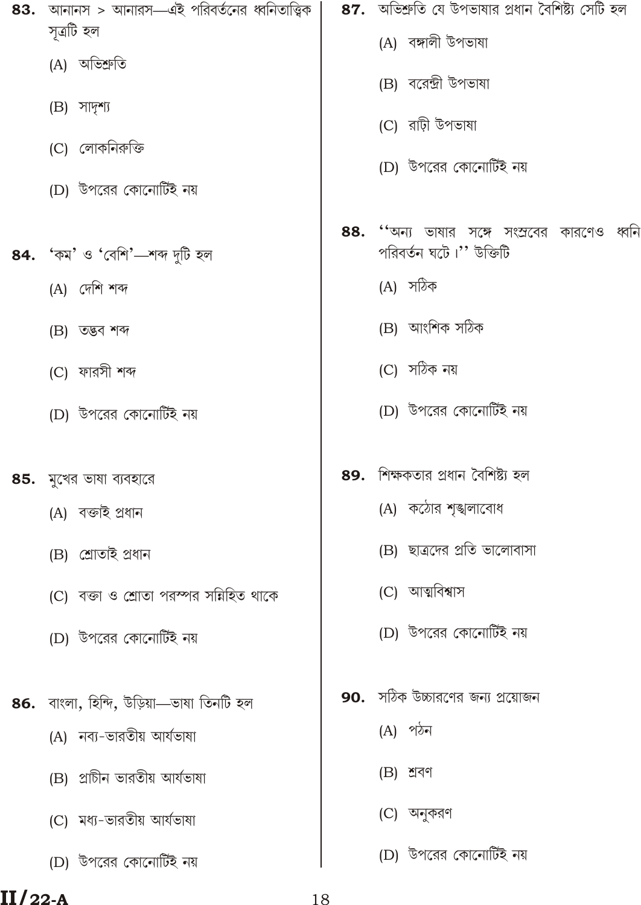- 83. আনানস > আনারস—এই পরিবর্তনের ধ্বনিতাত্ত্বিক সত্ৰটি হল
	- (A) অভিশ্ৰুতি
	- $(B)$  সাদৃশ্য
	- (C) লোকনিরুক্তি
	- (D) উপরের কোনোর্টিই নয়
- 'কম' ও 'বেশি'—শব্দ দটি হল 84.
	- $(A)$  দেশি শব্দ
	- (B) তদ্ভব শব্দ
	- (C) ফারসী শব্দ
	- (D) উপরের কোনোর্টিই নয়
- $85.$  মুখের ভাষা ব্যবহারে
	- (A) বক্তাই প্ৰধান
	- (B) শ্ৰোতাই প্ৰধান
	- (C) বক্তা ও শ্রোতা পরস্পর সন্নিহিত থাকে
	- (D) উপরের কোনোর্টিই নয়
- 86. বাংলা, হিন্দি, উড়িয়া—ভাষা তিনটি হল
	- (A) নব্য-ভারতীয় আর্যভাষা
	- (B) প্রাচীন ভারতীয় আর্যভাষা
	- (C) মধ্য-ভারতীয় আর্যভাষা
	- (D) উপরের কোনোর্টিই নয়
- 87. অভিশ্রুতি যে উপভাষার প্রধান বৈশিষ্ট্য সেটি হল
	- (A) বঙ্গালী উপভাষা
	- (B) বরেন্দ্রী উপভাষা
	- (C) রাঢ়ী উপভাষা
	- (D) উপরের কোনোর্টিই নয়
- 88. ''অন্য ভাষার সঙ্গে সংস্রবের কারণেও ধ্বনি পরিবর্তন ঘটে।" উক্তিটি
	- (A) সঠিক
	- (B) আংশিক সঠিক
	- (C) সঠিক নয়
	- (D) উপরের কোনোর্টিই নয়
- 89. শিক্ষকতার প্রধান বৈশিষ্ট্য হল
	- (A) কঠোর শঙ্খলাবোধ
	- (B) ছাত্রদের প্রতি ভালোবাসা
	- (C) আত্মবিশ্বাস
	- (D) উপরের কোনোর্টিই নয়
- **90.** সঠিক উচ্চারণের জন্য প্রয়োজন
	- $(A)$  পঠন
	- $(B)$  শ্ৰবণ
	- (C) অনুকরণ
	- (D) উপরের কোনোর্টিই নয়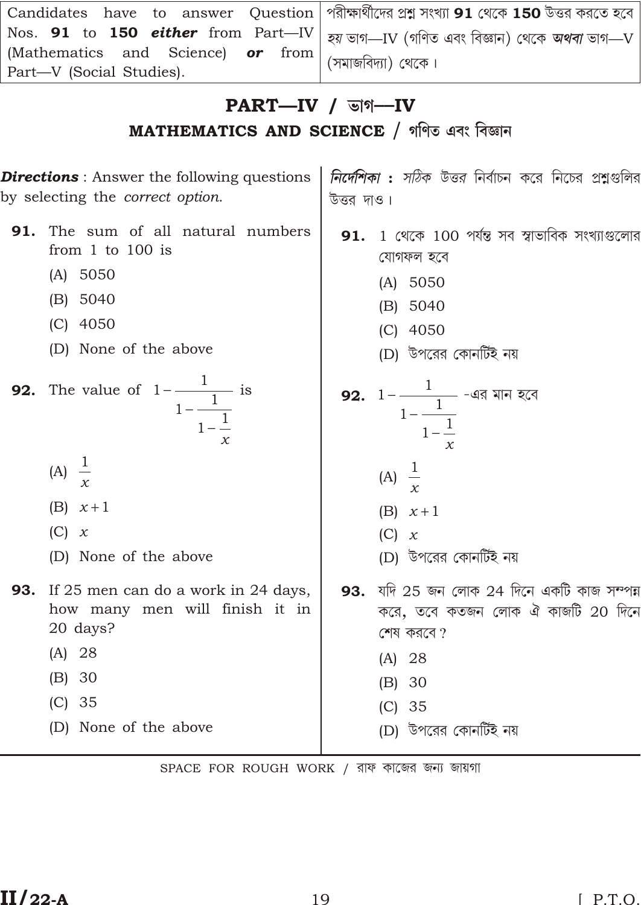| Candidates have to answer Question   পরীক্ষার্থীদের প্রশ্ন সংখ্যা 91 থেকে 150 উত্তর করতে হবে            |  |
|---------------------------------------------------------------------------------------------------------|--|
| Nos. 91 to 150 <i>either</i> from Part—IV   <i>হয়</i> ভাগ—IV (গণিত এবং বিজ্ঞান) থেকে <i>অথবা</i> ভাগ—V |  |
| (Mathematics and Science) or from $($ সমাজবিদ্যা) থেকে।                                                 |  |
| Part—V (Social Studies).                                                                                |  |

## $PART$ -IV /  $\triangledown$  /  $\triangledown$

MATHEMATICS AND SCIENCE / গণিত এবং বিজ্ঞান

*নির্দেশিকা : সঠিক উত্তর* নির্বাচন করে নিচের প্রশ্নগুলির **Directions**: Answer the following questions by selecting the *correct option*. উত্তর দাও। The sum of all natural numbers 91. 1 থেকে 100 পর্যন্ত সব স্বাভাবিক সংখ্যাগুলোর 91. from  $1$  to  $100$  is যোগফল হবে  $(A) 5050$  $(A) 5050$  $(B) 5040$  $(B) 5040$  $(C)$  4050  $(C)$  4050 (D) None of the above (D) উপরের কোনর্টিই নয় **92.** The value of  $1 \frac{1}{1 + \frac{1}{1 + \frac{1}{x}}}$  is 92.  $1 \frac{1}{1 \frac{1}{1 \frac{1}{1}}}$ -এর মান হবে (A)  $\frac{1}{x}$ (A)  $\frac{1}{x}$  $(B) \times 1$  $(B) \times 1$  $(C)$  x  $(C)$  x (D) উপরের কোনর্টিই নয় (D) None of the above 93. যদি 25 জন লোক 24 দিনে একটি কাজ সম্পন্ন **93.** If 25 men can do a work in 24 days, করে, তবে কতজন লোক ঐ কাজটি 20 দিনে how many men will finish it in 20 days? শেষ করবে?  $(A) 28$  $(A) 28$  $(B) 30$  $(B) 30$  $(C) 35$  $(C)$  35 (D) None of the above (D) উপরের কোনটিই নয়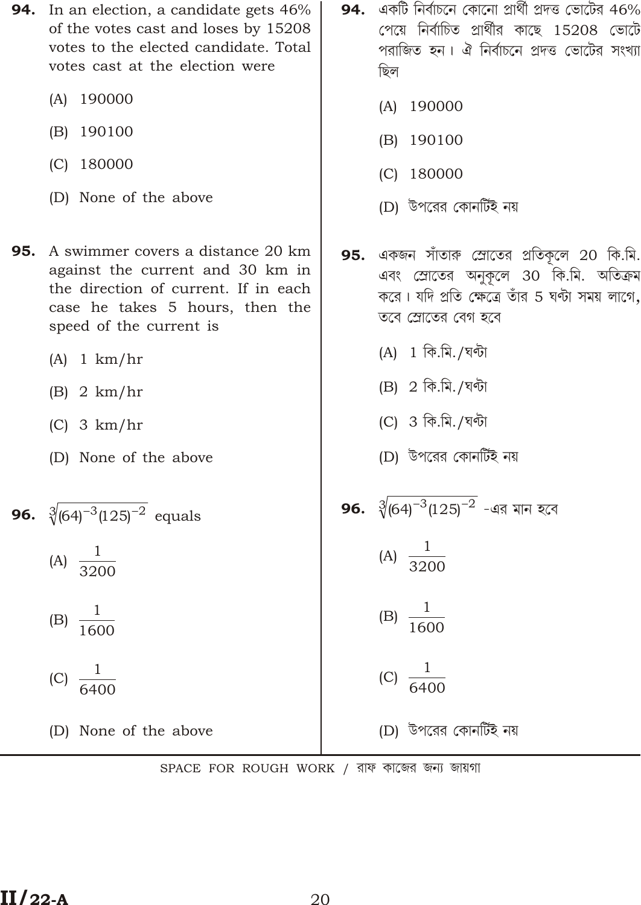- **94.** In an election, a candidate gets 46% of the votes cast and loses by 15208 votes to the elected candidate. Total votes cast at the election were
	- (A) 190000
	- (B) 190100
	- $(C)$  180000
	- (D) None of the above
- **95.** A swimmer covers a distance 20 km against the current and 30 km in the direction of current. If in each case he takes 5 hours, then the speed of the current is
	- $(A)$  1 km/hr
	- $(B)$  2 km/hr
	- $(C)$  3 km/hr
	- (D) None of the above

**96.** 
$$
\sqrt[3]{(64)^3(125)^2}
$$
 equals



$$
(B) \frac{1}{1600}
$$

$$
(C) \frac{1}{6400}
$$

(D) None of the above

- **94.** একটি নির্বাচনে কোনো প্রার্থী প্রদত্ত ভোটের 46% পেয়ে নির্বাচিত প্রার্থীর কাছে 15208 ভোটে পরাজিত হন। ঐ নির্বাচনে প্রদত্ত ভোটের সংখ্যা ছিল
	- (A) 190000
	- 190100  $(B)$
	- $(C)$  180000
	- (D) উপরের কোনর্টিই নয়
- 95. একজন সাঁতারু স্রোতের প্রতিকৃলে 20 কি.মি. এবং স্রোতের অনুকূলে 30 কি.মি. অতিক্রম করে। যদি প্রতি ক্ষেত্রে তাঁর 5 ঘন্টা সময় লাগে, তবে স্রোতের বেগ হবে
	- (A) 1 কি.মি./ঘণ্টা
	- (B) 2 কি.মি./ঘণ্টা
	- (C) 3 কি.মি./ঘণ্টা
	- (D) উপরের কোনর্টিই নয়

**96.**  $\sqrt[3]{(64)^{-3}(125)^{-2}}$  -এর মান হবে (A)  $\frac{1}{3200}$ (B)  $\frac{1}{1600}$ (C)  $\frac{1}{6400}$ 

- (D) উপরের কোনর্টিই নয়
- SPACE FOR ROUGH WORK / রাফ কাজের জন্য জায়গা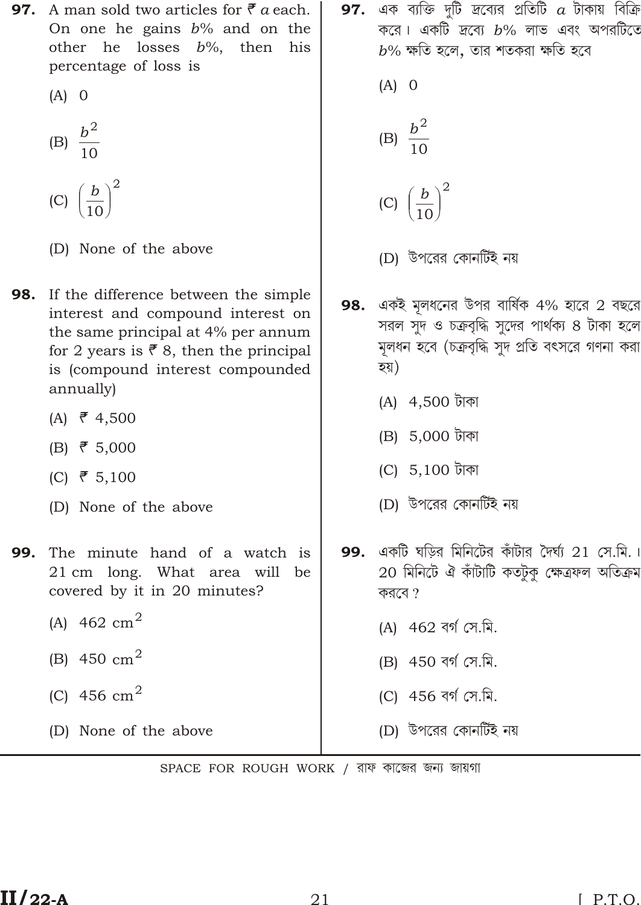- **97.** A man sold two articles for  $\bar{\vec{\tau}}$  a each. On one he gains  $b\%$  and on the other he losses  $b\%$ , then his percentage of loss is
	- $(A)$  0
	- (B)  $\frac{b^2}{10}$
	- $\overline{\mathbf{c}}$ (C)  $\frac{b}{10}$
	- (D) None of the above
- If the difference between the simple 98. interest and compound interest on the same principal at 4% per annum for 2 years is  $\bar{\mathcal{F}}$  8, then the principal is (compound interest compounded annually)
	- (A)  $\bar{\mathbf{z}}$  4,500
	- $(B)$   $\bar{\mathbf{z}}$  5,000
	- (C)  $\bar{\mathbf{r}}$  5,100
	- (D) None of the above
- The minute hand of a watch is 99. 21 cm long. What area will be covered by it in 20 minutes?
	- (A)  $462 \text{ cm}^2$
	- (B) 450  $\text{cm}^2$
	- (C) 456  $cm<sup>2</sup>$

(D) None of the above

- **97.** এক ব্যক্তি দুটি দ্রব্যের প্রতিটি  $a$  টাকায় বিক্রি করে। একটি দ্রব্যে  $b\%$  লাভ এবং অপরটিতে  $b\%$  ক্ষতি হলে, তার শতকরা ক্ষতি হবে
	- $(A)$  0 (B)  $\frac{b^2}{10}$
	-
	- (C)  $\frac{b}{10}$
	- (D) উপরের কোনর্টিই নয়
- 98. একই মূলধনের উপর বার্ষিক 4% হারে 2 বছরে সরল সুদ ও চক্রবৃদ্ধি সুদের পার্থক্য ৪ টাকা হলে মূলধন হবে (চক্রবৃদ্ধি সুদ প্রতি বৎসরে গণনা করা হয়)
	- (A) 4,500 টাকা
	- (B) 5,000 টাকা
	- (C) 5,100 টাকা
	- (D) উপরের কোনর্টিই নয়
- 99. একটি ঘড়ির মিনিটের কাঁটার দৈর্ঘ্য 21 সে.মি.। 20 মিনিটে ঐ কাঁটাটি কতটুকু ক্ষেত্ৰফল অতিক্ৰম করবে  $?$ 
	- (A) 462 বর্গ সে.মি.
	- (B) 450 বৰ্গ সে.মি.
	- (C) 456 বর্গ সে.মি.
	- (D) উপরের কোনর্টিই নয়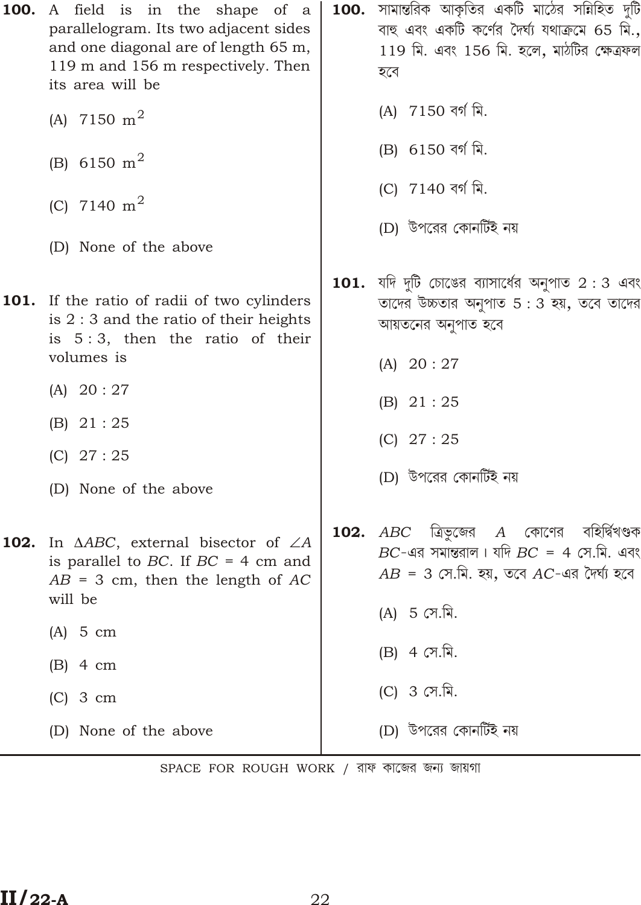| 100. | A field is in the shape of a<br>parallelogram. Its two adjacent sides<br>and one diagonal are of length 65 m,<br>119 m and 156 m respectively. Then<br>its area will be | $\,$ 100.  সামান্তরিক আকৃতির একটি মাঠের সন্নিহিত দুটি<br>বাহু এবং একটি কর্ণের দৈর্ঘ্য যথাক্রমে 65 মি.,<br>119 মি. এবং 156 মি. হলে, মাঠটির ক্ষেত্রফল<br>হবে         |
|------|-------------------------------------------------------------------------------------------------------------------------------------------------------------------------|--------------------------------------------------------------------------------------------------------------------------------------------------------------------|
|      | (A) 7150 $m^2$                                                                                                                                                          | (A) 7150 বৰ্গ মি.                                                                                                                                                  |
|      | (B) 6150 m <sup>2</sup>                                                                                                                                                 | (B) 6150 বৰ্গ মি.                                                                                                                                                  |
|      | (C) 7140 $m^2$                                                                                                                                                          | (C) 7140 বৰ্গ মি.                                                                                                                                                  |
|      | (D) None of the above                                                                                                                                                   | (D) উপরের কোনর্টিই নয়                                                                                                                                             |
|      | <b>101.</b> If the ratio of radii of two cylinders<br>is $2:3$ and the ratio of their heights<br>is $5:3$ , then the ratio of their<br>volumes is                       | <b>101.</b> যদি দুটি চোঙের ব্যাসার্ধের অনুপাত 2:3 এবং<br>তাদের উচ্চতার অনুপাত $5:3$ হয়, তবে তাদের<br>আয়তনের অনুপাত হবে<br>(A) 20:27                              |
|      | (A) 20:27                                                                                                                                                               | (B) 21:25                                                                                                                                                          |
|      | (B) 21:25<br>$(C)$ 27:25<br>(D) None of the above                                                                                                                       | $(C)$ 27 : 25<br>(D) উপরের কোনর্টিই নয়                                                                                                                            |
| 102. | In ABC, external bisector of<br>A<br>is parallel to $BC$ . If $BC = 4$ cm and<br>$AB = 3$ cm, then the length of AC<br>will be                                          | $\bf 102. \;\; ABC \;\;$ ত্রিভুজের $\;\; A \;\;$ কোণের বহির্দ্বিখণ্ডক<br>$BC$ -এর সমান্তরাল। যদি $BC = 4$ সে.মি. এবং<br>$AB = 3$ সে.মি. হয়, তবে AC-এর দৈর্ঘ্য হবে |
|      | $(A)$ 5 cm                                                                                                                                                              | (A) 5 সে.মি.                                                                                                                                                       |
|      | $(B)$ 4 cm                                                                                                                                                              | (B) 4 সে.মি.                                                                                                                                                       |
|      | $(C)$ 3 cm                                                                                                                                                              | (C) 3 সে.মি.                                                                                                                                                       |
|      | (D) None of the above                                                                                                                                                   | (D) উপরের কোনর্টিই নয়                                                                                                                                             |
|      |                                                                                                                                                                         |                                                                                                                                                                    |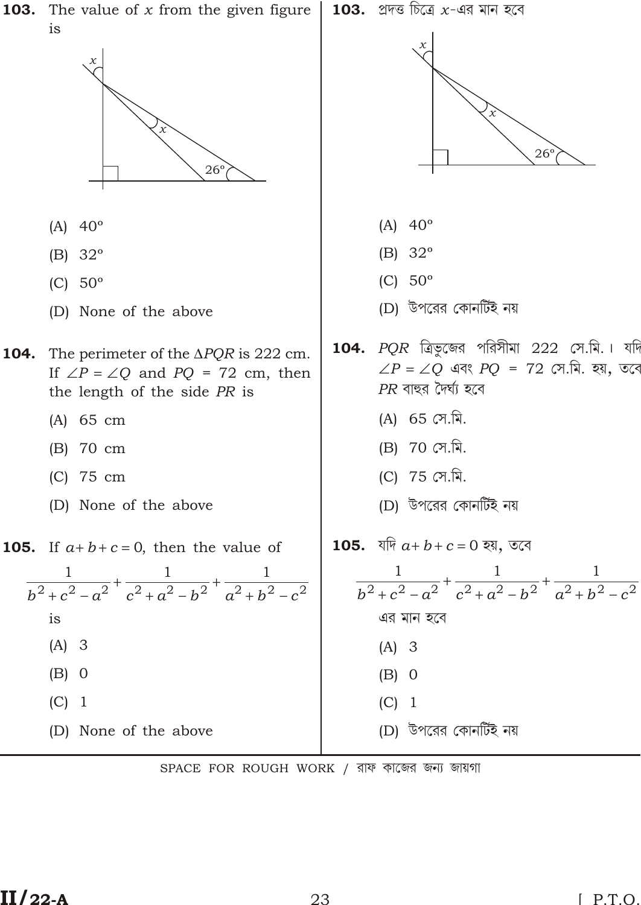

SPACE FOR ROUGH WORK / রাফ কাজের জন্য জায়গা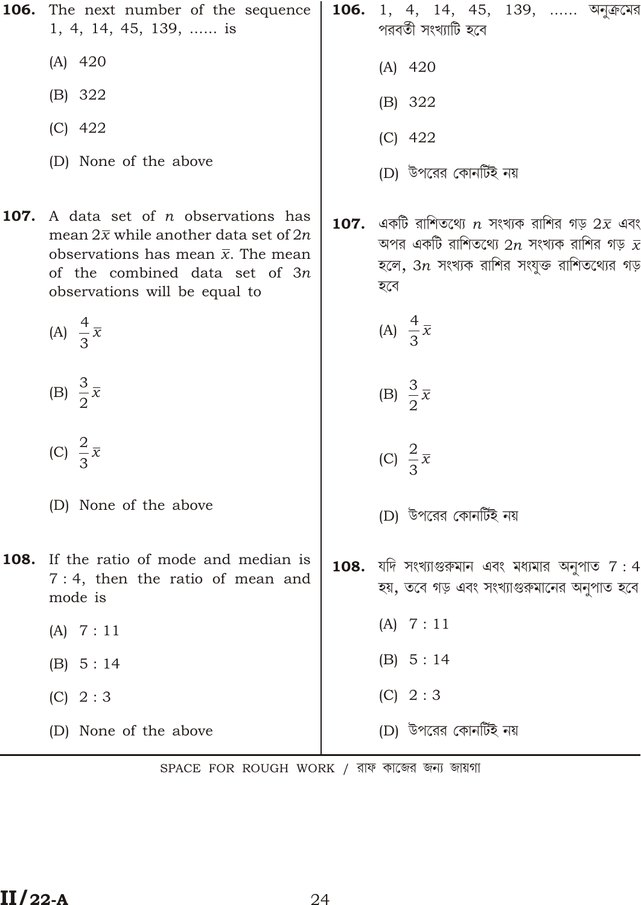|      | <b>106.</b> The next number of the sequence<br>1, 4, 14, 45, 139,  is                                                                                                                                            | 106. | 1, 4, 14, 45, 139,  অনুক্রের<br>পরবর্তী সংখ্যাটি হবে                                                                                                                                |
|------|------------------------------------------------------------------------------------------------------------------------------------------------------------------------------------------------------------------|------|-------------------------------------------------------------------------------------------------------------------------------------------------------------------------------------|
|      | $(A)$ 420                                                                                                                                                                                                        |      | $(A)$ 420                                                                                                                                                                           |
|      | (B) 322                                                                                                                                                                                                          |      | (B) 322                                                                                                                                                                             |
|      | $(C)$ 422                                                                                                                                                                                                        |      | $(C)$ 422                                                                                                                                                                           |
|      | (D) None of the above                                                                                                                                                                                            |      | (D) উপরের কোনর্টিই নয়                                                                                                                                                              |
| 107. | A data set of <i>n</i> observations has<br>mean $2\bar{x}$ while another data set of 2 <i>n</i><br>observations has mean $\bar{x}$ . The mean<br>of the combined data set of 3n<br>observations will be equal to |      | $\,$ 107. $\,$ একটি রাশিতথ্যে $\,n\,$ সংখ্যক রাশির গড় $2\bar{x}$ এবং<br>অপর একটি রাশিতথ্যে $2n$ সংখ্যক রাশির গড় $\bar{x}$<br>হলে, $3n$ সংখ্যক রাশির সংযুক্ত রাশিতথ্যের গড়<br>হবে |
|      | (A) $\frac{4}{3}\overline{x}$                                                                                                                                                                                    |      | (A) $\frac{4}{3}\overline{x}$                                                                                                                                                       |
|      | (B) $\frac{3}{2}\overline{x}$                                                                                                                                                                                    |      | (B) $\frac{3}{2}\bar{x}$                                                                                                                                                            |
|      | (C) $\frac{2}{3}\overline{x}$                                                                                                                                                                                    |      | (C) $\frac{2}{3}\overline{x}$                                                                                                                                                       |
|      | (D) None of the above                                                                                                                                                                                            |      | (D) উপরের কোনর্টিই নয়                                                                                                                                                              |
|      | <b>108.</b> If the ratio of mode and median is<br>$7:4$ , then the ratio of mean and<br>mode is                                                                                                                  |      | $\,$ 108.  যদি সংখ্যাগুরুমান এবং মধ্যমার অনুপাত $\,7:4$<br>হয়, তবে গড় এবং সংখ্যাগুরুমানের অনুপাত হবে                                                                              |
|      | (A) 7:11                                                                                                                                                                                                         |      | (A) 7:11                                                                                                                                                                            |
|      | (B) 5:14                                                                                                                                                                                                         |      | (B) 5:14                                                                                                                                                                            |
|      | (C) 2:3                                                                                                                                                                                                          |      | (C) 2:3                                                                                                                                                                             |
|      | (D) None of the above                                                                                                                                                                                            |      | (D) উপরের কোনর্টিই নয়                                                                                                                                                              |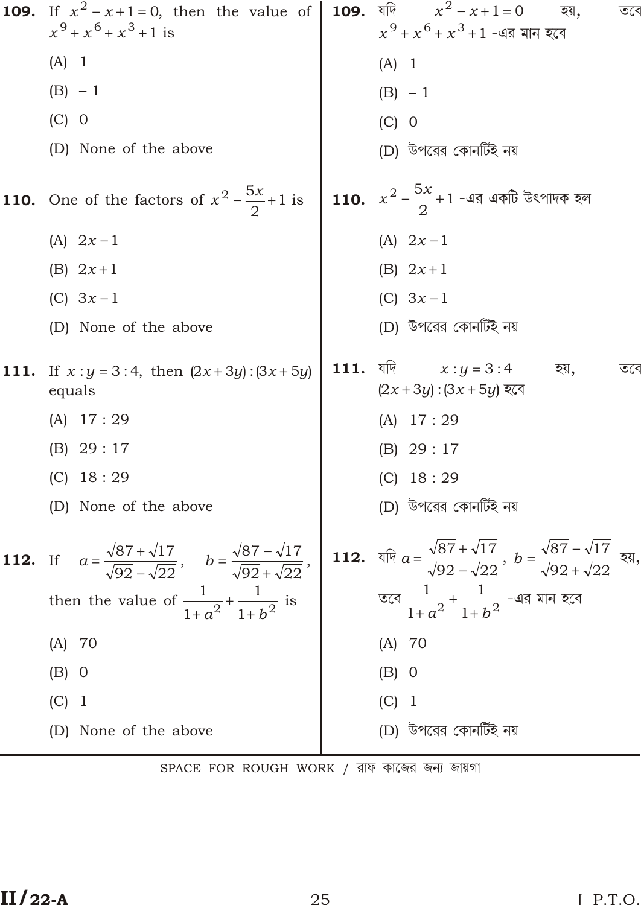109. If 
$$
x^2
$$
 x 1 0, then the value of  $x^9$   $x^6$   $x^3$  1 is  
\n(A) 1  
\n(B) -1  
\n(C) 0  
\n(D) None of the above  
\n110. One of the factors of  $x^2$   $\frac{5x}{2}$  1 is  
\n(A) 2x 1  
\n(B) 2x 1  
\n(C) 3x 1  
\n(D) None of the above  
\n111. If x : y 3 : 4, then |2x 3y| : |3x 5y|  
\n112. If  $a = \frac{\sqrt{87} \sqrt{17}}{\sqrt{92} \sqrt{22}}$ ,  $b = \frac{\sqrt{87} \sqrt{17}}{\sqrt{92} \sqrt{22}}$ , then the value of  $\frac{1}{1}a^2$   $\frac{1}{1}b^2$  is  
\n(A) 2x 1  
\n(B) 2x 1  
\n(C) 18 : 29  
\n(D) 18 : 29  
\n(E) 29 : 17  
\n(E) 10  
\n(E) 0  
\n(E) 0  
\n(E) 0  
\n(E) 0  
\n(E) 0  
\n(E) 0  
\n(E) 0  
\n(E) 1  
\n(E) -1  
\n(E) -1  
\n(E) 29 : 17  
\n(E) 3x 1  
\n(E) 2x 1  
\n(E) 2x 1  
\n(E) 2x 1  
\n(E) 2x 1  
\n(E) 2x 1  
\n(E) 2x 1  
\n(E) 2x 1  
\n(E) 2x 1  
\n(E) 2x 1  
\n(E) 2x 1  
\n(E) 2x 1  
\n(E) 2x 1  
\n(E) 2x 1  
\n(E) 2x 1  
\n(E) 3x 1  
\n(E) 3x 1  
\n(E) 3x 1  
\n(E) 3x 1  
\n(E) 2x 1  
\n(E) 3x 1  
\n(E) 3x 1  
\n(E) 3x 1  
\n(E) 3x 1  
\n(E) 3x 1  
\n(E) 3x 1  
\n(E) 3x 1  
\n(E) 3x 1  
\n(E) 3x 1  
\n(E) 4x 3y  
\n(E) 3x 4  
\n(E) 4x 3y  
\

SPACE FOR ROUGH WORK / রাফ কাজের জন্য জায়গা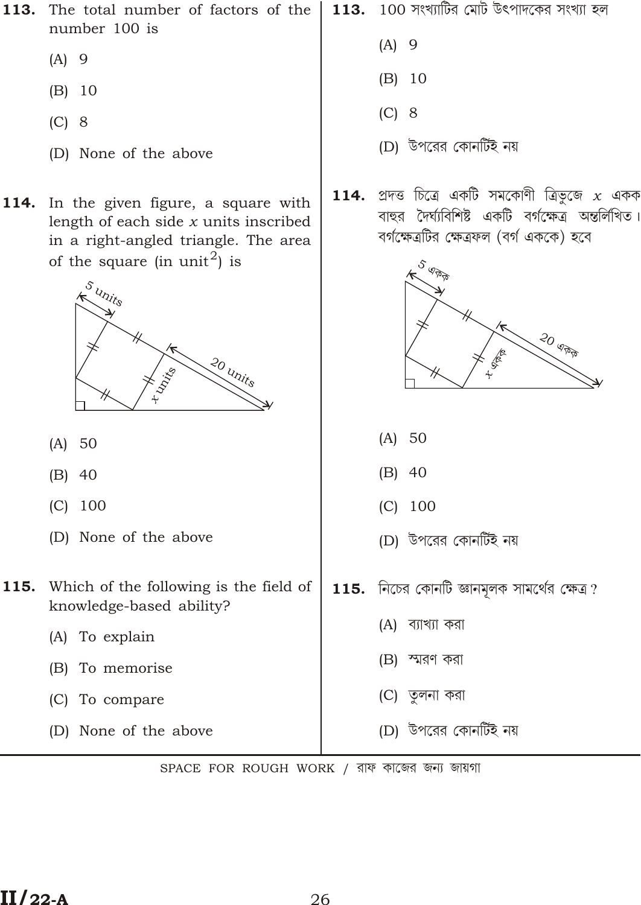- 113. The total number of factors of the number 100 is
	- $(A)$  9
	- $(B) 10$
	- $(C)$  8
	- (D) None of the above
- In the given figure, a square with 114. length of each side  $x$  units inscribed in a right-angled triangle. The area of the square (in unit<sup>2</sup>) is



- $(A) 50$
- $(B)$  40
- $(C)$  100
- (D) None of the above
- Which of the following is the field of 115. knowledge-based ability?
	- (A) To explain
	- (B) To memorise
	- (C) To compare
	- (D) None of the above

100 সংখ্যাটির মোট উৎপাদকের সংখ্যা হল 113.

- $(A)$  9
- $(B) 10$
- $(C)$  8
- (D) উপরের কোনর্টিই নয়
- প্ৰদত্ত চিত্ৰে একটি সমকোণী ত্ৰিভূজে  $x$  একক 114. বাহুর দৈর্ঘ্যবিশিষ্ট একটি বর্গক্ষেত্র অন্তর্লিখিত। বর্গক্ষেত্রটির ক্ষেত্রফল (বর্গ এককে) হবে



- $(A) 50$
- $(B)$  40
- $(C) 100$
- (D) উপরের কোনর্টিই নয়
- $115.$  নিচের কোনটি জ্ঞানমূলক সামর্থের ক্ষেত্র?
	- (A) ব্যাখ্যা করা
	- (B) স্মরণ করা
	- (C) তুলনা করা
	- (D) উপরের কোনর্টিই নয়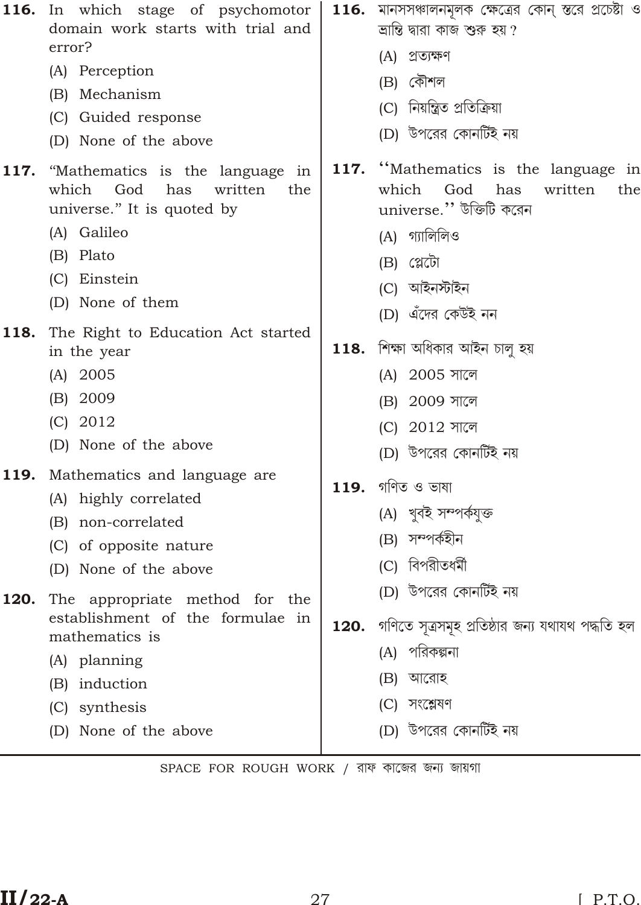|              | <b>116.</b> In which stage of psychomotor<br>domain work starts with trial and<br>error?<br>(A) Perception<br>(B) Mechanism<br>(C) Guided response<br>(D) None of the above |      | $116.$ মানসসঞ্চালনমূলক ক্ষেত্রের কোন্ স্তরে প্রচেষ্টা ও<br>ভ্ৰান্তি দ্বারা কাজ শুরু হয় ?<br>(A) প্ৰত্যক্ষণ<br>(B) কৌশল<br>(C) নিয়ন্ত্রিত প্রতিক্রিয়া<br>(D) উপরের কোনর্টিই নয় |
|--------------|-----------------------------------------------------------------------------------------------------------------------------------------------------------------------------|------|-----------------------------------------------------------------------------------------------------------------------------------------------------------------------------------|
| 117.         | "Mathematics is the language<br>in<br>which<br>God<br>written<br>has<br>the<br>universe." It is quoted by<br>(A) Galileo<br>(B) Plato<br>(C) Einstein<br>(D) None of them   |      | 117. "Mathematics is the language in<br>which<br>God<br>has<br>written<br>the<br>universe." উক্তিটি করেন<br>(A) গ্যালিলিও<br>$(B)$ (atti<br>(C) আইনস্টাইন<br>(D) এঁদের কেউই নন    |
| 118.         | The Right to Education Act started<br>in the year<br>$(A)$ 2005<br>(B) 2009<br>$(C)$ 2012<br>(D) None of the above                                                          |      | $118.$ শিক্ষা অধিকার আইন চালু হয়<br>(A) 2005 সালে<br>(B) 2009 সালে<br>(C) 2012 সালে<br>(D) উপরের কোনর্টিই নয়                                                                    |
| 119.<br>120. | Mathematics and language are<br>(A) highly correlated<br>(B) non-correlated<br>(C) of opposite nature<br>(D) None of the above<br>The appropriate method for the            |      | $119.$ গণিত ও ভাষা<br>(A) খুবই সম্পৰ্কযুক্ত<br>(B) সম্পৰ্কহীন<br>(C) বিপরীতধর্মী<br>(D) উপরের কোনটিই নয়                                                                          |
|              | establishment of the formulae in<br>mathematics is<br>(A) planning<br>(B) induction<br>(C) synthesis<br>(D) None of the above                                               | 120. | গণিতে সূত্ৰসমূহ প্ৰতিষ্ঠার জন্য যথাযথ পদ্ধতি হল<br>(A) পরিকল্পনা<br>আরোহ<br>(B)<br>(C) সংশ্লেষণ<br>(D) উপরের কোনর্টিই নয়                                                         |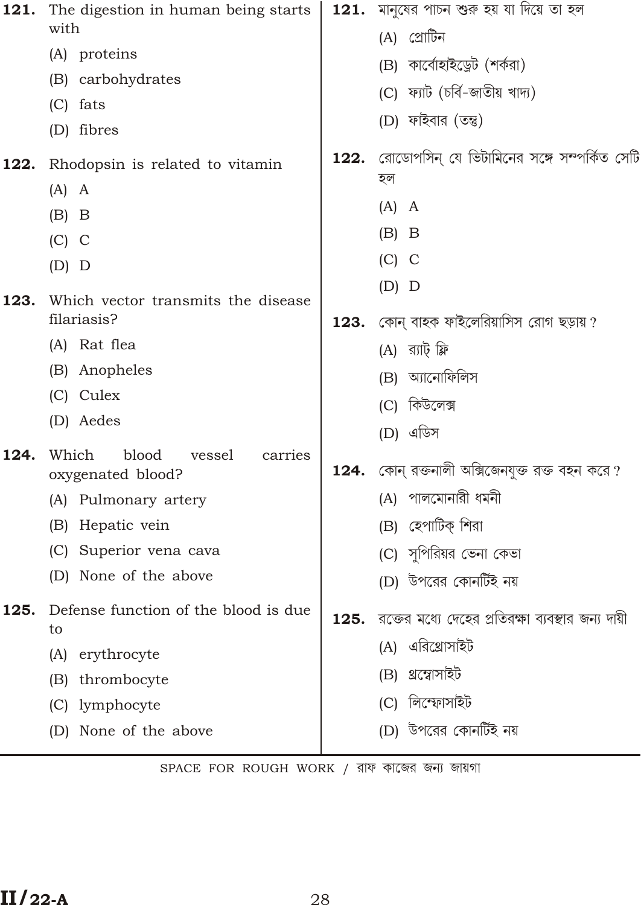| 121. | The digestion in human being starts                      |      | <b>121.</b> মানুষের পাচন শুরু হয় যা দিয়ে তা হল   |
|------|----------------------------------------------------------|------|----------------------------------------------------|
|      | with                                                     |      | (A) প্রোটিন                                        |
|      | (A) proteins                                             |      | (B) কাৰ্বোহাইড্ৰেট (শৰ্করা)                        |
|      | (B) carbohydrates                                        |      | (C) ফ্যাট (চৰ্বি-জাতীয় খাদ্য)                     |
|      | fats<br>(C)                                              |      | (D) ফাইবার (তন্তু)                                 |
|      | (D) fibres                                               | 122. | রোডোপসিন্ যে ভিটামিনের সঙ্গে সম্পর্কিত সেটি        |
| 122. | Rhodopsin is related to vitamin                          |      | হল                                                 |
|      | $(A)$ A                                                  |      | $(A)$ A                                            |
|      | $(B)$ B                                                  |      | $(B)$ B                                            |
|      | $(C)$ C                                                  |      | $(C)$ C                                            |
|      | $(D)$ D                                                  |      | $(D)$ $D$                                          |
| 123. | Which vector transmits the disease                       |      |                                                    |
|      | filariasis?                                              | 123. | কোন্ বাহক ফাইলেরিয়াসিস রোগ ছড়ায় ?               |
|      | (A) Rat flea                                             |      | (A) র্যাট্ ফ্লি                                    |
|      | (B) Anopheles                                            |      | (B) আনোফিলিস                                       |
|      | (C) Culex                                                |      | (C) কিউলেক্স                                       |
|      | (D) Aedes                                                |      | (D) এডিস                                           |
| 124. | Which<br>blood<br>vessel<br>carries<br>oxygenated blood? |      | $124.$ কোন্ রক্তনালী অক্সিজেনযুক্ত রক্ত বহন করে ?  |
|      | (A) Pulmonary artery                                     |      | (A) পালমোনারী ধমনী                                 |
|      | Hepatic vein<br>(B)                                      |      | (B) হেপাটিক্ শিরা                                  |
|      | (C)<br>Superior vena cava                                |      | (C) সুপিরিয়র ভেনা কেভা                            |
|      | None of the above<br>(D)                                 |      | (D) উপরের কোনর্টিই নয়                             |
| 125. | Defense function of the blood is due<br>to               | 125. | রক্তের মধ্যে দেহের প্রতিরক্ষা ব্যবস্থার জন্য দায়ী |
|      | erythrocyte<br>(A)                                       |      | এরিথ্রোসাইট<br>(A)                                 |
|      | thrombocyte<br>(B)                                       |      | থ্ৰশ্বোসাইট<br>(B)                                 |
|      | lymphocyte<br>(C)                                        |      | লিস্ফোসাইট<br>(C)                                  |
|      | None of the above<br>(D)                                 |      | (D) উপরের কোনর্টিই নয়                             |
|      |                                                          |      |                                                    |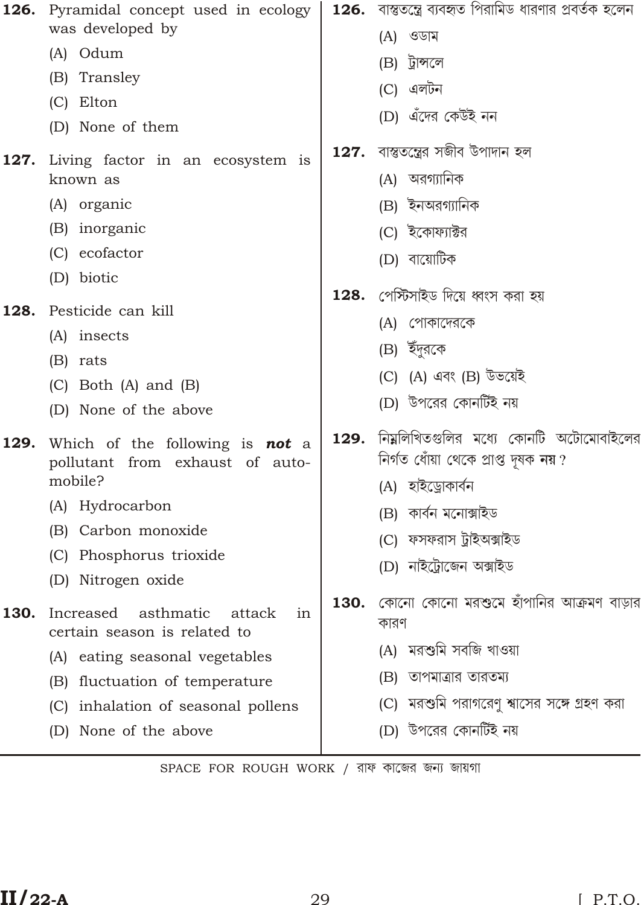| 126. | Pyramidal concept used in ecology<br>was developed by                     |      | <b>126.</b> বাস্তুতন্ত্রে ব্যবহৃত পিরামিড ধারণার প্রবর্তক হলেন                   |
|------|---------------------------------------------------------------------------|------|----------------------------------------------------------------------------------|
|      | (A) Odum                                                                  |      | $(A)$ ওডাম                                                                       |
|      | (B) Transley                                                              |      | (B) ট্রান্সলে                                                                    |
|      | (C) Elton                                                                 |      | (C) এলটন                                                                         |
|      | (D) None of them                                                          |      | (D) এঁদের কেউই নন                                                                |
| 127. | Living factor in an ecosystem is<br>known as                              | 127. | বাস্তুতন্ত্রের সজীব উপাদান হল<br>(A) অরগ্যানিক                                   |
|      | (A) organic                                                               |      | (B) ইনঅরগ্যানিক                                                                  |
|      | (B) inorganic                                                             |      | (C) ইকোফ্যাক্টর                                                                  |
|      | (C) ecofactor                                                             |      | (D) বায়োটিক                                                                     |
|      | (D) biotic                                                                | 128. | পেস্টিসাইড দিয়ে ধ্বংস করা হয়                                                   |
| 128. | Pesticide can kill                                                        |      | (A) গোকাদেরকে                                                                    |
|      | (A) insects                                                               |      | (B) ইঁদুরকে                                                                      |
|      | (B) rats                                                                  |      | (C) (A) এবং (B) উভয়েই                                                           |
|      | $(C)$ Both $(A)$ and $(B)$                                                |      | (D) উপরের কোনর্টিই নয়                                                           |
|      | (D) None of the above                                                     |      |                                                                                  |
| 129. | Which of the following is <b>not</b> a<br>pollutant from exhaust of auto- | 129. | নিম্নলিখিতগুলির মধ্যে কোনটি অটোমোবাইলের<br>নিৰ্গত ধোঁয়া থেকে প্ৰাপ্ত দূষক নয় ? |
|      | mobile?                                                                   |      | (A) হাইড্ৰোকাৰ্বন                                                                |
|      | (A) Hydrocarbon                                                           |      | (B) কাৰ্বন মনোক্সাইড                                                             |
|      | (B) Carbon monoxide                                                       |      | (C) ফসফরাস ট্রাইঅক্সাইড                                                          |
|      | (C) Phosphorus trioxide<br>(D) Nitrogen oxide                             |      | (D) নাইট্ৰোজেন অক্সাইড                                                           |
| 130. | asthmatic<br>Increased<br>attack<br>1n<br>certain season is related to    | 130. | কোনো কোনো মরশুমে হাঁপানির আক্রমণ বাড়ার<br>কারণ                                  |
|      | eating seasonal vegetables<br>(A)                                         |      | (A) মরশুমি সবজি খাওয়া                                                           |
|      | fluctuation of temperature<br>(B)                                         |      | (B) তাপমাত্রার তারতম্য                                                           |
|      | inhalation of seasonal pollens<br>(C)                                     |      | (C) মরশুমি পরাগরেণু শ্বাসের সঙ্গে গ্রহণ করা                                      |
|      | (D) None of the above                                                     |      | (D) উপরের কোনর্টিই নয়                                                           |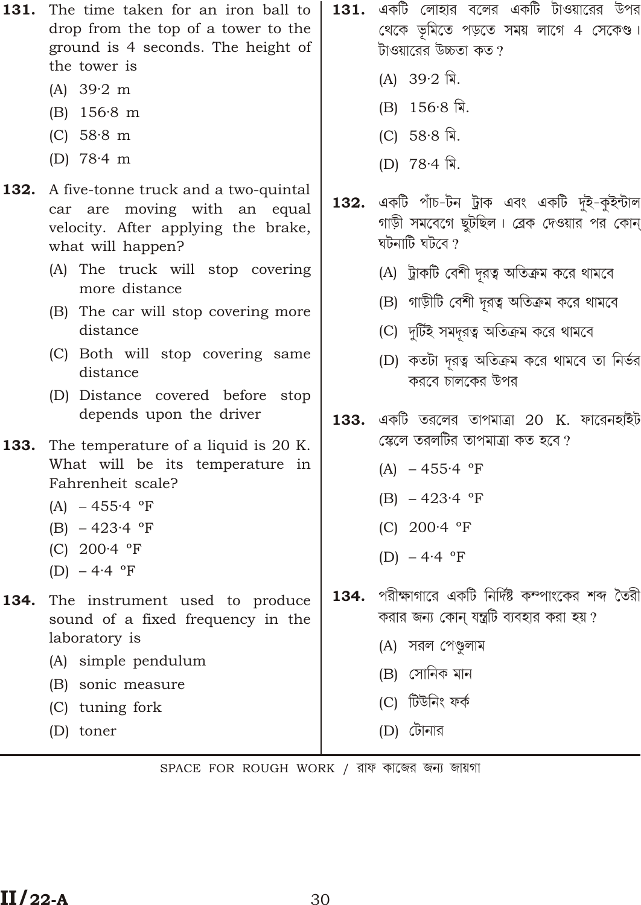- (A)  $39.2 \text{ m}$
- $(B)$  156.8 m
- (C)  $58.8 \text{ m}$
- (D)  $78.4 \text{ m}$
- 132. A five-tonne truck and a two-quintal car are moving with an equal velocity. After applying the brake, what will happen?
	- (A) The truck will stop covering more distance
	- (B) The car will stop covering more distance
	- (C) Both will stop covering same distance
	- (D) Distance covered before stop depends upon the driver
- 133. The temperature of a liquid is 20 K. What will be its temperature in Fahrenheit scale?
	- $(A) 455.4$  °F
	- $(B) 423.4$  °F
	- $(C)$  200.4 °F
	- (D)  $-4.4$  °F
- 134. The instrument used to produce sound of a fixed frequency in the laboratory is
	- (A) simple pendulum
	- (B) sonic measure
	- (C) tuning fork
	- (D) toner
- $\,$  131. একটি লোহার বলের একটি টাওয়ারের উপর থেকে ভূমিতে পড়তে সময় লাগে 4 সেকেণ্ড। টাওয়ারের উচ্চতা কত ?
	- (A)  $39.2 \pi$ .
	- $(B)$  156.8 मि.
	- (C) 58.8 মি.
	- (D)  $78.4 \text{ a}.$
- একটি পাঁচ-টন ট্ৰাক এবং একটি দুই-কুইন্টাল 132. গাড়ী সমবেগে ছুটছিল। ব্রেক দেওয়ার পর কোন ঘটনাটি ঘটবে  $\gamma$ 
	- (A) ট্রাকটি বেশী দূরত্ব অতিক্রম করে থামবে
	- (B) গাড়ীটি বেশী দূরত্ব অতিক্রম করে থামবে
	- (C) দুটিই সমদূরত্ব অতিক্রম করে থামবে
	- (D) কতটা দূরত্ব অতিক্রম করে থামবে তা নির্ভর করবে চালকের উপর
- $133.$  একটি তরলের তাপমাত্রা 20 K. ফারেনহাইট স্কেলে তরলটির তাপমাত্রা কত হবে ?
	- $(A) 455.4$  °F
	- (B)  $-423.4$  °F
	- (C)  $200.4$  °F
	- (D)  $-4.4$  °F
- পরীক্ষাগারে একটি নির্দিষ্ট কম্পাংকের শব্দ তৈরী 134. করার জন্য কোন যন্ত্রটি ব্যবহার করা হয় ?
	- (A) সরল পেণ্ডুলাম
	- (B) সোনিক মান
	- (C) টিউনিং ফৰ্ক
	- (D) টোনার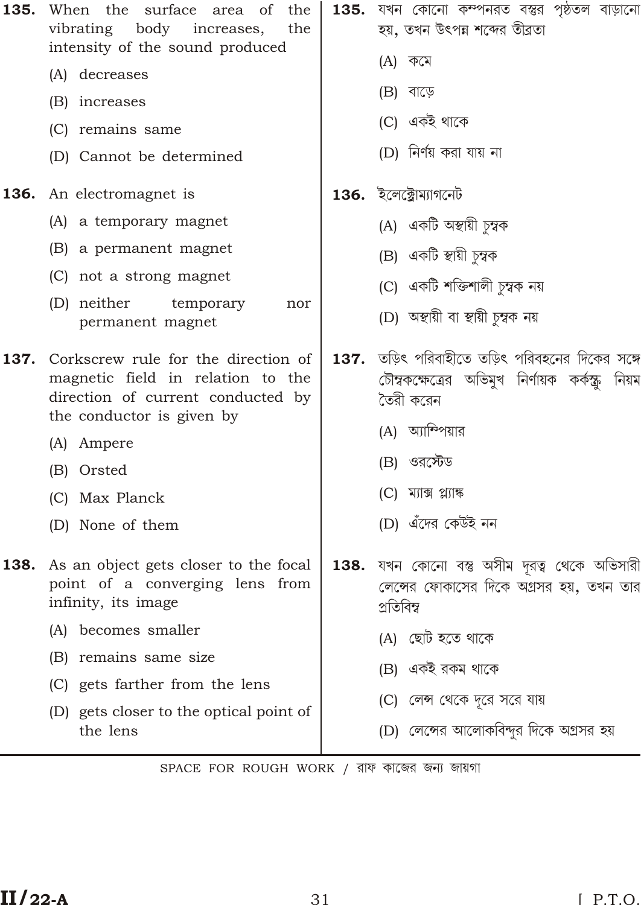| 135. | When the surface area of<br>the<br>vibrating body<br>increases,<br>the<br>intensity of the sound produced                                                                                                                                                     | 135. | যখন কোনো কম্পনরত বস্তুর পৃষ্ঠতল বাড়ানো<br>হয়, তখন উৎপন্ন শব্দের তীব্রতা                                                                                                                                                        |
|------|---------------------------------------------------------------------------------------------------------------------------------------------------------------------------------------------------------------------------------------------------------------|------|----------------------------------------------------------------------------------------------------------------------------------------------------------------------------------------------------------------------------------|
|      | (A) decreases<br>(B) increases                                                                                                                                                                                                                                |      | (A) কমে<br>(B) বাড়ে                                                                                                                                                                                                             |
|      | (C) remains same<br>(D) Cannot be determined                                                                                                                                                                                                                  |      | (C) একই থাকে<br>(D) নিৰ্ণয় করা যায় না                                                                                                                                                                                          |
|      | 136. An electromagnet is<br>(A) a temporary magnet<br>(B) a permanent magnet<br>(C) not a strong magnet<br>(D) neither<br>temporary<br>nor<br>permanent magnet                                                                                                |      | $136.$ ইলেক্ট্রোম্যাগনেট<br>(A) একটি অন্থায়ী চুম্বক<br>(B) একটি স্থায়ী চুম্বক<br>(C) একটি শক্তিশালী চুম্বক নয়<br>(D) অন্থায়ী বা স্থায়ী চুম্বক নয়                                                                           |
| 137. | Corkscrew rule for the direction of<br>magnetic field in relation to the<br>direction of current conducted by<br>the conductor is given by<br>(A) Ampere<br>(B) Orsted<br>(C) Max Planck<br>(D) None of them                                                  |      | 137. তড়িৎ পরিবাহীতে তড়িৎ পরিবহনের দিকের সঙ্গে<br>চৌম্বকক্ষেত্রের অভিমুখ নির্ণায়ক কর্কন্ট্রু নিয়ম<br>তৈরী করেন<br>(A) অ্যাম্পিয়ার<br>(B) ওরস্টেড<br>$(C)$ ম্যাক্স প্ল্যাঙ্ক<br>(D) এঁদের কেউই নন                             |
|      | <b>138.</b> As an object gets closer to the focal<br>point of a converging lens from<br>infinity, its image<br>becomes smaller<br>(A)<br>remains same size<br>(B)<br>gets farther from the lens<br>(C)<br>(D) gets closer to the optical point of<br>the lens |      | <b>138.</b> যখন কোনো বস্তু অসীম দূরত্ব থেকে অভিসারী<br>লেন্সের ফোকাসের দিকে অগ্রসর হয়, তখন তার<br>প্ৰতিবিম্ব<br>(A) ছোট হতে থাকে<br>(B) একই রকম থাকে<br>(C) লেন্স থেকে দূরে সরে যায়<br>(D) লেন্সের আলোকবিন্দুর দিকে অগ্রসর হয় |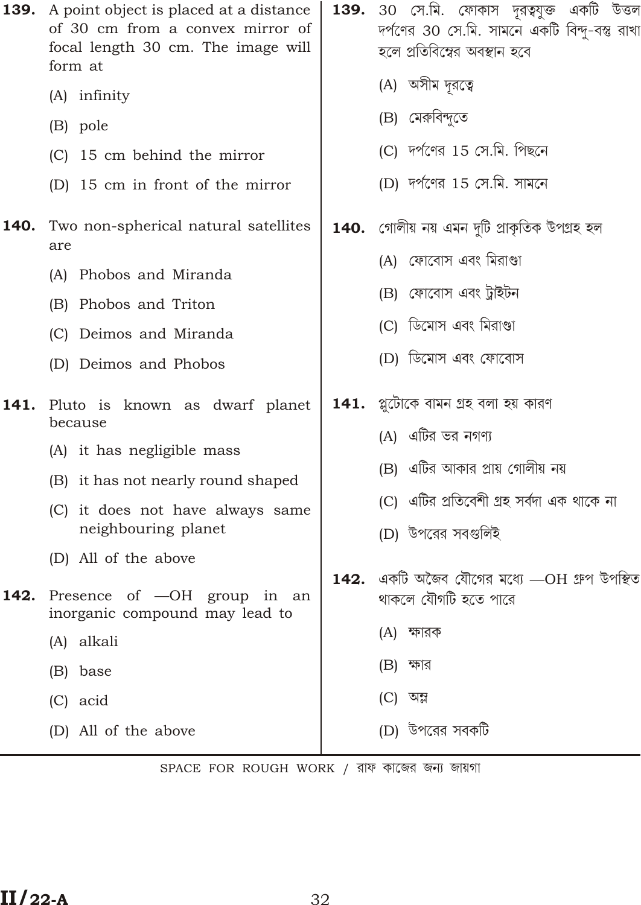|      | <b>139.</b> A point object is placed at a distance<br>of 30 cm from a convex mirror of<br>focal length 30 cm. The image will<br>form at                                                          | <b>139.</b> 30 সে.মি. ফোকাস দূরত্বযুক্ত একটি উত্তল<br>দর্পণের 30 সে.মি. সামনে একটি বিন্দু-বস্তু রাখা<br>হলে প্রতিবিশ্বের অবস্থান হবে                              |
|------|--------------------------------------------------------------------------------------------------------------------------------------------------------------------------------------------------|-------------------------------------------------------------------------------------------------------------------------------------------------------------------|
|      | (A) infinity<br>(B) pole<br>(C) 15 cm behind the mirror<br>(D) 15 cm in front of the mirror                                                                                                      | (A) অসীম দূরত্বে<br>(B) মেরুবিন্দুতে<br>(C) দর্পণের 15 সে.মি. পিছনে<br>(D) দর্পণের 15 সে.মি. সামনে                                                                |
| 140. | Two non-spherical natural satellites<br>are<br>(A) Phobos and Miranda<br>(B) Phobos and Triton<br>(C) Deimos and Miranda<br>(D) Deimos and Phobos                                                | 140.   গোলীয় নয় এমন দুটি প্ৰাকৃতিক উপগ্ৰহ হল<br>(A) ফোবোস এবং মিরাণ্ডা<br>(B) ফোবোস এবং ট্রাইটন<br>(C) ডিমোস এবং মিরাণ্ডা<br>(D) ডিমোস এবং ফোবোস                |
| 141. | Pluto is known as dwarf planet<br>because<br>(A) it has negligible mass<br>(B) it has not nearly round shaped<br>(C) it does not have always same<br>neighbouring planet<br>(D) All of the above | $141.$ প্লুটোকে বামন গ্ৰহ বলা হয় কারণ<br>(A) এটির ভর নগণ্য<br>(B)  এটির আকার প্রায় গোলীয় নয়<br>(C) এটির প্রতিবেশী গ্রহ সর্বদা এক থাকে না<br>(D) উপরের সবগুলিই |
| 142. | Presence of -OH group in an<br>inorganic compound may lead to<br>(A) alkali<br>(B) base<br>(C) acid<br>(D) All of the above                                                                      | $\,$ 142. $\,$ একটি অজৈব যৌগের মধ্যে $\rm -OH$ গ্রুপ উপস্থিত<br>থাকলে যৌগটি হতে পারে<br>(A) ক্ষারক<br>(B) ক্ষার<br>(C) অম্ল<br>(D) উপরের সবকটি                    |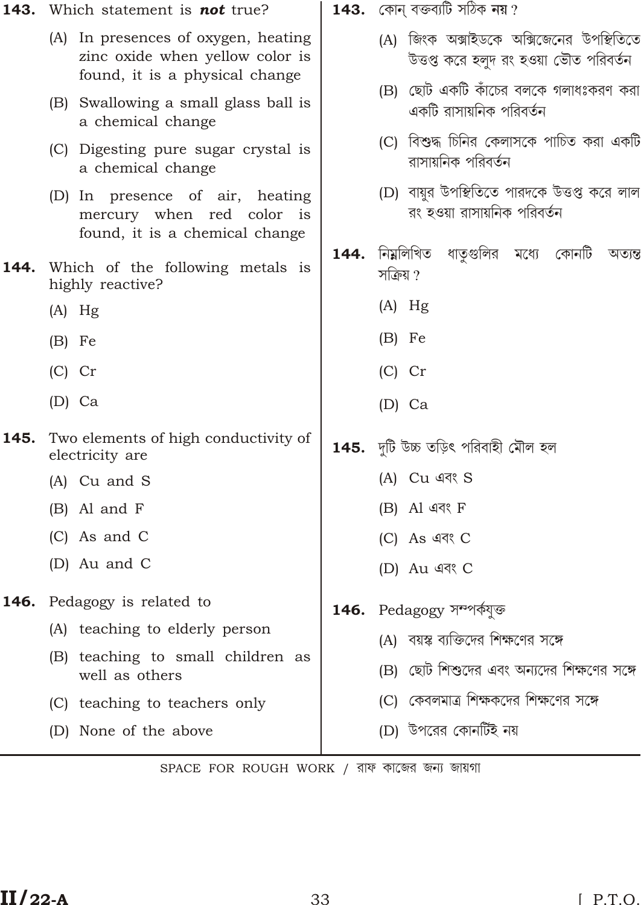| (A) জিংক অক্সাইডকে অক্সিজেনের উপস্থিতিতে<br>(A) In presences of oxygen, heating<br>zinc oxide when yellow color is<br>উত্তপ্ত করে হলুদ রং হওয়া ভৌত পরিবর্তন<br>found, it is a physical change<br>ছোট একটি কাঁচের বলকে গলাধঃকরণ করা<br>(B)<br>(B) Swallowing a small glass ball is<br>একটি রাসায়নিক পরিবর্তন<br>a chemical change<br>(C) বিশুদ্ধ চিনির কেলাসকে পাচিত করা একটি<br>(C) Digesting pure sugar crystal is<br>রাসায়নিক পরিবর্তন<br>a chemical change<br>(D) বায়ুর উপস্থিতিতে পারদকে উত্তপ্ত করে লাল<br>(D) In presence of air, heating<br>রং হওয়া রাসায়নিক পরিবর্তন<br>mercury when red color is<br>found, it is a chemical change<br>নিম্নলিখিত<br>ধাতৃগুলির মধ্যে কোনটি অত্যন্ত<br>144.<br>Which of the following metals is<br>144.<br>সক্ৰিয় ?<br>highly reactive?<br>$(A)$ Hg<br>$(A)$ Hg<br>$(B)$ Fe<br>$(B)$ Fe<br>$(C)$ Cr<br>$(C)$ Cr<br>$(D)$ Ca<br>$(D)$ Ca<br>145.<br>Two elements of high conductivity of<br><b>145.</b> দুটি উচ্চ তড়িৎ পরিবাহী মৌল হল<br>electricity are<br>(A) Cu এবং S<br>(A) Cu and S<br>$(B)$ Al এবং F<br>(B) Al and F<br>(C) As and C<br>$(C)$ As এবং $C$<br>(D) Au and C<br>(D) Au এবং C<br>Pedagogy is related to<br>146.<br><b>146.</b> Pedagogy সম্পৰ্কযুক্ত<br>(A) teaching to elderly person<br>(A) বয়স্ক ব্যক্তিদের শিক্ষণের সঙ্গে<br>(B) teaching to small children as<br>(B) ছোট শিশুদের এবং অন্যদের শিক্ষণের সঙ্গে<br>well as others<br>(C)  কেবলমাত্র শিক্ষকদের শিক্ষণের সঙ্গে<br>(C) teaching to teachers only<br>(D) উপরের কোনর্টিই নয়<br>(D) None of the above | 143. Which statement is <b>not</b> true? | <b>143.</b> কোন্ বক্তব্যটি সঠিক <b>নয়</b> ? |
|-----------------------------------------------------------------------------------------------------------------------------------------------------------------------------------------------------------------------------------------------------------------------------------------------------------------------------------------------------------------------------------------------------------------------------------------------------------------------------------------------------------------------------------------------------------------------------------------------------------------------------------------------------------------------------------------------------------------------------------------------------------------------------------------------------------------------------------------------------------------------------------------------------------------------------------------------------------------------------------------------------------------------------------------------------------------------------------------------------------------------------------------------------------------------------------------------------------------------------------------------------------------------------------------------------------------------------------------------------------------------------------------------------------------------------------------------------------------------------------------------------------------------------------|------------------------------------------|----------------------------------------------|
|                                                                                                                                                                                                                                                                                                                                                                                                                                                                                                                                                                                                                                                                                                                                                                                                                                                                                                                                                                                                                                                                                                                                                                                                                                                                                                                                                                                                                                                                                                                                   |                                          |                                              |
|                                                                                                                                                                                                                                                                                                                                                                                                                                                                                                                                                                                                                                                                                                                                                                                                                                                                                                                                                                                                                                                                                                                                                                                                                                                                                                                                                                                                                                                                                                                                   |                                          |                                              |
|                                                                                                                                                                                                                                                                                                                                                                                                                                                                                                                                                                                                                                                                                                                                                                                                                                                                                                                                                                                                                                                                                                                                                                                                                                                                                                                                                                                                                                                                                                                                   |                                          |                                              |
|                                                                                                                                                                                                                                                                                                                                                                                                                                                                                                                                                                                                                                                                                                                                                                                                                                                                                                                                                                                                                                                                                                                                                                                                                                                                                                                                                                                                                                                                                                                                   |                                          |                                              |
|                                                                                                                                                                                                                                                                                                                                                                                                                                                                                                                                                                                                                                                                                                                                                                                                                                                                                                                                                                                                                                                                                                                                                                                                                                                                                                                                                                                                                                                                                                                                   |                                          |                                              |
|                                                                                                                                                                                                                                                                                                                                                                                                                                                                                                                                                                                                                                                                                                                                                                                                                                                                                                                                                                                                                                                                                                                                                                                                                                                                                                                                                                                                                                                                                                                                   |                                          |                                              |
|                                                                                                                                                                                                                                                                                                                                                                                                                                                                                                                                                                                                                                                                                                                                                                                                                                                                                                                                                                                                                                                                                                                                                                                                                                                                                                                                                                                                                                                                                                                                   |                                          |                                              |
|                                                                                                                                                                                                                                                                                                                                                                                                                                                                                                                                                                                                                                                                                                                                                                                                                                                                                                                                                                                                                                                                                                                                                                                                                                                                                                                                                                                                                                                                                                                                   |                                          |                                              |
|                                                                                                                                                                                                                                                                                                                                                                                                                                                                                                                                                                                                                                                                                                                                                                                                                                                                                                                                                                                                                                                                                                                                                                                                                                                                                                                                                                                                                                                                                                                                   |                                          |                                              |
|                                                                                                                                                                                                                                                                                                                                                                                                                                                                                                                                                                                                                                                                                                                                                                                                                                                                                                                                                                                                                                                                                                                                                                                                                                                                                                                                                                                                                                                                                                                                   |                                          |                                              |
|                                                                                                                                                                                                                                                                                                                                                                                                                                                                                                                                                                                                                                                                                                                                                                                                                                                                                                                                                                                                                                                                                                                                                                                                                                                                                                                                                                                                                                                                                                                                   |                                          |                                              |
|                                                                                                                                                                                                                                                                                                                                                                                                                                                                                                                                                                                                                                                                                                                                                                                                                                                                                                                                                                                                                                                                                                                                                                                                                                                                                                                                                                                                                                                                                                                                   |                                          |                                              |
|                                                                                                                                                                                                                                                                                                                                                                                                                                                                                                                                                                                                                                                                                                                                                                                                                                                                                                                                                                                                                                                                                                                                                                                                                                                                                                                                                                                                                                                                                                                                   |                                          |                                              |
|                                                                                                                                                                                                                                                                                                                                                                                                                                                                                                                                                                                                                                                                                                                                                                                                                                                                                                                                                                                                                                                                                                                                                                                                                                                                                                                                                                                                                                                                                                                                   |                                          |                                              |
|                                                                                                                                                                                                                                                                                                                                                                                                                                                                                                                                                                                                                                                                                                                                                                                                                                                                                                                                                                                                                                                                                                                                                                                                                                                                                                                                                                                                                                                                                                                                   |                                          |                                              |
|                                                                                                                                                                                                                                                                                                                                                                                                                                                                                                                                                                                                                                                                                                                                                                                                                                                                                                                                                                                                                                                                                                                                                                                                                                                                                                                                                                                                                                                                                                                                   |                                          |                                              |
|                                                                                                                                                                                                                                                                                                                                                                                                                                                                                                                                                                                                                                                                                                                                                                                                                                                                                                                                                                                                                                                                                                                                                                                                                                                                                                                                                                                                                                                                                                                                   |                                          |                                              |
|                                                                                                                                                                                                                                                                                                                                                                                                                                                                                                                                                                                                                                                                                                                                                                                                                                                                                                                                                                                                                                                                                                                                                                                                                                                                                                                                                                                                                                                                                                                                   |                                          |                                              |
|                                                                                                                                                                                                                                                                                                                                                                                                                                                                                                                                                                                                                                                                                                                                                                                                                                                                                                                                                                                                                                                                                                                                                                                                                                                                                                                                                                                                                                                                                                                                   |                                          |                                              |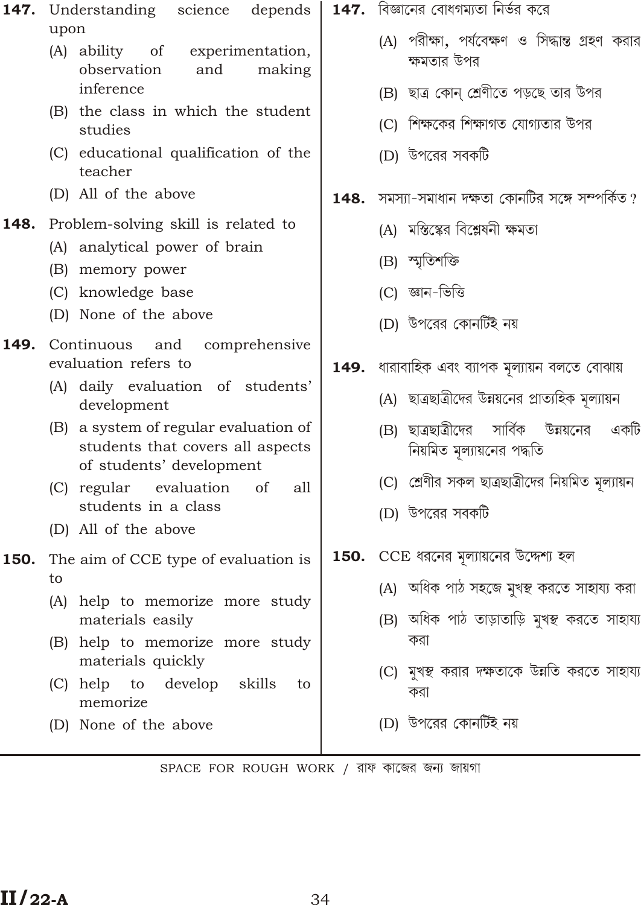|      | 147. Understanding science<br>depends                                                                 |      | $147.$ বিজ্ঞানের বোধগম্যতা নির্ভর করে                                         |
|------|-------------------------------------------------------------------------------------------------------|------|-------------------------------------------------------------------------------|
|      | upon                                                                                                  |      |                                                                               |
|      | (A) ability of experimentation,<br>observation<br>and<br>making<br>inference                          |      | (A) পরীক্ষা, পর্যবেক্ষণ ও সিদ্ধান্ত গ্রহণ করার<br>ক্ষমতার উপর                 |
|      | (B) the class in which the student                                                                    |      | (B) ছাত্র কোন্ শ্রেণীতে পড়ছে তার উপর                                         |
|      | studies                                                                                               |      | (C) শিক্ষকের শিক্ষাগত যোগ্যতার উপর                                            |
|      | (C) educational qualification of the<br>teacher                                                       |      | (D) উপরের সবকটি                                                               |
|      | (D) All of the above                                                                                  | 148. | সমস্যা-সমাধান দক্ষতা কোনটির সঙ্গে সম্পর্কিত ?                                 |
| 148. | Problem-solving skill is related to                                                                   |      | (A) মস্তিষ্কের বিশ্লেষনী ক্ষমতা                                               |
|      | (A) analytical power of brain                                                                         |      | (B) স্মৃতিশক্তি                                                               |
|      | (B) memory power                                                                                      |      |                                                                               |
|      | (C) knowledge base                                                                                    |      | (C) জ্ঞান-ভিত্তি                                                              |
|      | (D) None of the above                                                                                 |      | (D) উপরের কোনর্টিই নয়                                                        |
| 149. | Continuous and<br>comprehensive<br>evaluation refers to                                               | 149. | ধারাবাহিক এবং ব্যাপক মূল্যায়ন বলতে বোঝায়                                    |
|      | (A) daily evaluation of students'<br>development                                                      |      | (A) ছাত্রছাত্রীদের উন্নয়নের প্রাত্যহিক মূল্যায়ন                             |
|      | (B) a system of regular evaluation of<br>students that covers all aspects<br>of students' development |      | উন্নয়নের<br>(B) ছাত্ৰছাত্ৰীদের সাৰ্বিক<br>একটি<br>নিয়মিত মূল্যায়নের পদ্ধতি |
|      | (C) regular evaluation<br>of<br>all                                                                   |      | (C) শ্ৰেণীর সকল ছাত্ৰছাত্ৰীদের নিয়মিত মূল্যায়ন                              |
|      | students in a class<br>(D) All of the above                                                           |      | (D) উপরের সবকটি                                                               |
| 150. | The aim of CCE type of evaluation is                                                                  |      | $150.$ $CCE$ ধরনের মূল্যায়নের উদ্দেশ্য হল                                    |
|      | to                                                                                                    |      | (A) অধিক পাঠ সহজে মুখন্থ করতে সাহায্য করা                                     |
|      | (A) help to memorize more study<br>materials easily                                                   |      | (B) অধিক পাঠ তাড়াতাড়ি মুখস্থ করতে সাহায্য                                   |
|      | (B) help to memorize more study<br>materials quickly                                                  |      | করা                                                                           |
|      | skills<br>$(C)$ help<br>to<br>develop<br>to<br>memorize                                               |      | (C) মুখস্থ করার দক্ষতাকে উন্নতি করতে সাহায্য<br>করা                           |
|      | (D) None of the above                                                                                 |      | (D) উপরের কোনর্টিই নয়                                                        |
|      |                                                                                                       |      |                                                                               |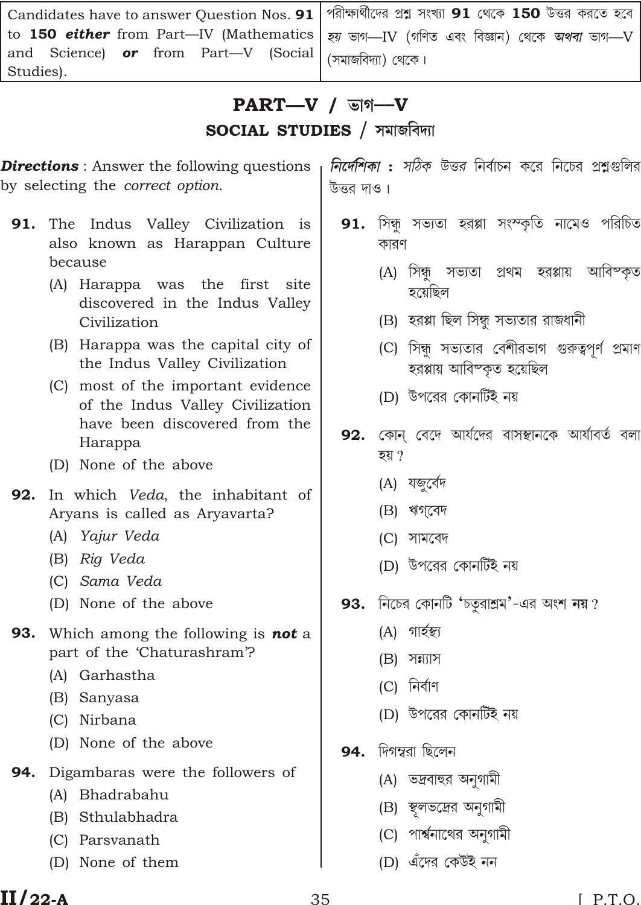| Candidates have to answer Question Nos. 91   পরীক্ষার্থীদের প্রশ্ন সংখ্যা 91 থেকে 150 উত্তর করতে হবে |  |
|------------------------------------------------------------------------------------------------------|--|
| to 150 either from Part—IV (Mathematics   হয় ভাগ—IV (গণিত এবং বিজ্ঞান) থেকে <i>অথবা</i> ভাগ—V       |  |
| and Science) or from Part—V (Social (সমাজবিদ্যা) থেকে।                                               |  |
| Studies).                                                                                            |  |

# $PART-V$  /  $\triangledown$  /  $\triangledown$

**SOCIAL STUDIES / সমাজবিদ্যা** 

**Directions**: Answer the following questions by selecting the *correct option*.

- 91. The Indus Valley Civilization is also known as Harappan Culture because
	- (A) Harappa was the first site discovered in the Indus Valley Civilization
	- (B) Harappa was the capital city of the Indus Valley Civilization
	- (C) most of the important evidence of the Indus Valley Civilization have been discovered from the Harappa
	- (D) None of the above
- 92. In which Veda, the inhabitant of Aryans is called as Aryavarta?
	- (A) Yajur Veda
	- (B) Rig Veda
	- (C) Sama Veda
	- (D) None of the above
- 93. Which among the following is not a part of the 'Chaturashram'?
	- (A) Garhastha
	- (B) Sanyasa
	- (C) Nirbana
	- (D) None of the above
- **94.** Digambaras were the followers of
	- (A) Bhadrabahu
	- (B) Sthulabhadra
	- (C) Parsvanath
	- (D) None of them

*নির্দেশিকা : সঠিক উত্তর* নির্বাচন করে নিচের প্রশ্নগুলির উত্তর দাও।

- **91.** সিন্ধ সভ্যতা হরপ্পা সংস্কৃতি নামেও পরিচিত কারণ
	- (A) সিন্ধু সভ্যতা প্ৰথম হরপ্পায় আবিম্কৃত হয়েছিল
	- (B) হরপ্পা ছিল সিন্ধু সভ্যতার রাজধানী
	- (C) সিন্ধু সভ্যতার বেশীরভাগ গুরুত্বপূর্ণ প্রমাণ হরপ্পায় আবিষ্কত হয়েছিল
	- (D) উপরের কোনর্টিই নয়
- **92.** কোন বেদে আর্যদের বাসস্থানকে আর্যাবর্ত বলা হয় ?
	- (A) যজুৰ্বেদ
	- (B) ঋগবেদ
	- (C) সামবেদ
	- (D) উপরের কোনর্টিই নয়
- 93. নিচের কোনটি 'চতুরাশ্রম'-এর অংশ নয়?
	- (A) গাৰ্হস্থ্য
	- $(B)$  সন্ন্যাস
	- $(C)$  নিৰ্বাণ
	- (D) উপরের কোনর্টিই নয়
- 94. দিগম্বরা ছিলেন
	- (A) ভদ্রবাহুর অনুগামী
	- (B) স্থলভদ্রের অনুগামী
	- (C) পার্শ্বনাথের অনুগামী
	- (D) এঁদের কেউই নন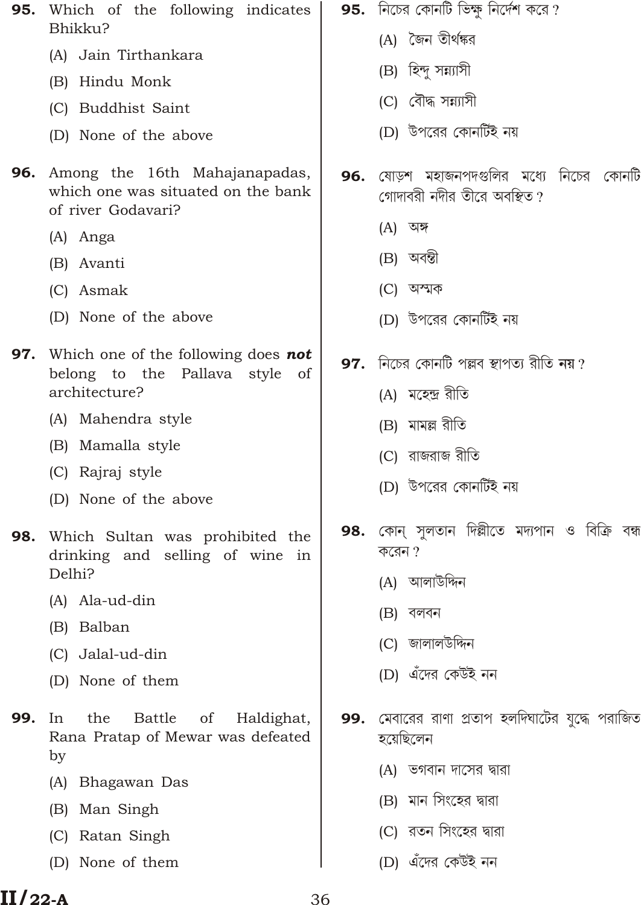- Which of the following indicates 95. Bhikk11?
	- (A) Jain Tirthankara
	- (B) Hindu Monk
	- (C) Buddhist Saint
	- (D) None of the above
- 96. Among the 16th Mahajanapadas, which one was situated on the bank of river Godavari?
	- (A) Anga
	- (B) Avanti
	- (C) Asmak
	- (D) None of the above
- 97. Which one of the following does not belong to the Pallava style of architecture?
	- (A) Mahendra style
	- (B) Mamalla style
	- (C) Rajraj style
	- (D) None of the above
- 98. Which Sultan was prohibited the drinking and selling of wine in Delhi?
	- (A) Ala-ud-din
	- (B) Balban
	- (C) Jalal-ud-din
	- (D) None of them
- 99.  $In$ the Battle of Haldighat, Rana Pratap of Mewar was defeated by
	- (A) Bhagawan Das
	- (B) Man Singh
	- (C) Ratan Singh
	- (D) None of them
- 95. নিচের কোনটি ভিক্ষু নির্দেশ করে?
	- (A) জৈন তীৰ্থঙ্কর
	- (B) হিন্দু সন্ন্যাসী
	- (C) বৌদ্ধ সন্ন্যাসী
	- (D) উপরের কোনর্টিই নয়
- 96. ষোড়শ মহাজনপদগুলির মধ্যে নিচের কোনটি গোদাবরী নদীর তীরে অবস্থিত?
	- $(A)$  অঙ্গ
	- (B) অবন্তী
	- (C) অস্মক
	- (D) উপরের কোনর্টিই নয়
- 97. নিচের কোনটি পল্লব স্থাপত্য রীতি নয়?
	- (A) মহেন্দ্ৰ রীতি
	- (B) মামল্ল রীতি
	- (C) রাজরাজ রীতি
	- (D) উপরের কোনর্টিই নয়
- **98.** কোন্ সুলতান দিল্লীতে মদ্যপান ও বিক্ৰি বন্ধ  $\overline{\phi}$ রেন $\gamma$ 
	- (A) আলাউদ্দিন
	- $(B)$  বলবন
	- (C) জালালউদ্দিন
	- (D) এঁদের কেউই নন
- 99. মেবারের রাণা প্রতাপ হলদিঘাটের যুদ্ধে পরাজিত হয়েছিলেন
	- (A) ভগবান দাসের দ্বারা
	- (B) মান সিংহের দ্বারা
	- (C) রতন সিংহের দ্বারা
	- (D) এঁদের কেউই নন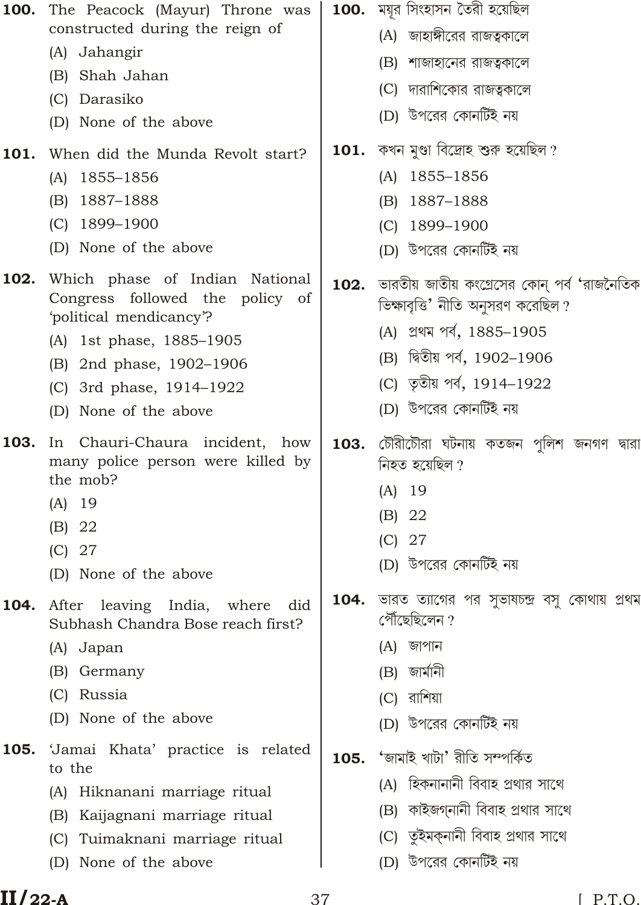| 100. | The Peacock (Mayur) Throne was<br>constructed during the reign of            |      | <b>100.</b> ময়ুর সিংহাসন তৈরী হয়েছিল                       |
|------|------------------------------------------------------------------------------|------|--------------------------------------------------------------|
|      | (A) Jahangir                                                                 |      | (A) জাহাঙ্গীরের রাজত্বকালে                                   |
|      | (B) Shah Jahan                                                               |      | (B) শাজাহানের রাজত্বকালে                                     |
|      | (C) Darasiko                                                                 |      | (C) দারাশিকোর রাজত্বকালে                                     |
|      | (D) None of the above                                                        |      | (D) উপরের কোনর্টিই নয়                                       |
| 101. | When did the Munda Revolt start?                                             |      | $101.$ কখন মুণ্ডা বিদ্রোহ শুরু হয়েছিল ?                     |
|      | 1855-1856<br>(A)                                                             |      | 1855-1856<br>(A)                                             |
|      | 1887–1888<br>(B)                                                             |      | 1887-1888<br>(B)                                             |
|      | $(C)$ 1899-1900                                                              |      | 1899-1900<br>(C)                                             |
|      | (D) None of the above                                                        |      | (D) উপরের কোনর্টিই নয়                                       |
| 102. | Which phase of Indian National<br>Congress followed the policy of            | 102. | `ভারতীয় জাতীয় কংগ্রেসের কোন্ পর্ব 'রাজনৈতিক                |
|      | 'political mendicancy'?                                                      |      | ভিক্ষাবৃত্তি' নীতি অনুসরণ করেছিল ?                           |
|      | (A) 1st phase, 1885–1905                                                     |      | (A) প্ৰথম পৰ্ব, 1885-1905                                    |
|      | (B) 2nd phase, 1902-1906                                                     |      | (B) দ্বিতীয় পৰ্ব, 1902-1906                                 |
|      | (C) 3rd phase, 1914-1922                                                     |      | (C) তৃতীয় পর্ব, 1914-1922                                   |
|      | (D) None of the above                                                        |      | (D) উপরের কোনর্টিই নয়                                       |
| 103. | In Chauri-Chaura incident, how<br>many police person were killed by          | 103. | চৌরীটৌরা ঘটনায় কতজন পুলিশ জনগণ দ্বারা<br>নিহত হয়েছিল ?     |
|      | the mob?                                                                     |      | 19<br>(A)                                                    |
|      | $(A)$ 19<br>(B) 22                                                           |      | 22<br>(B)                                                    |
|      | (C)<br>27                                                                    |      | (C)<br>27                                                    |
|      | None of the above<br>(D)                                                     |      | (D) উপরের কোনর্টিই নয়                                       |
| 104. | leaving India,<br>where<br>did<br>After<br>Subhash Chandra Bose reach first? | 104. | ভারত ত্যাগের পর সুভাষচন্দ্র বসু কোথায় প্রথম<br>পৌঁছেছিলেন ? |
|      | (A) Japan                                                                    |      | জাপান<br>(A)                                                 |
|      | Germany<br>(B)                                                               |      | জার্মানী<br>(B)                                              |
|      | Russia<br>(C)                                                                |      | রাশিয়া<br>(C)                                               |
|      | None of the above<br>(D)                                                     |      | (D) উপরের কোনর্টিই নয়                                       |
| 105. | 'Jamai Khata' practice is related<br>to the                                  | 105. | 'জামাই খাটা' রীতি সম্পর্কিত                                  |
|      | Hiknanani marriage ritual<br>(A)                                             |      | (A) হিকনানানী বিবাহ প্রথার সাথে                              |
|      | Kaijagnani marriage ritual<br>(B)                                            |      | কাইজগ্নানী বিবাহ প্ৰথার সাথে<br>(B)                          |
|      | Tuimaknani marriage ritual<br>(C)                                            |      | (C) তুইমক্নানী বিবাহ প্ৰথার সাথে                             |
|      | None of the above<br>(D)                                                     |      | (D) উপরের কোনর্টিই নয়                                       |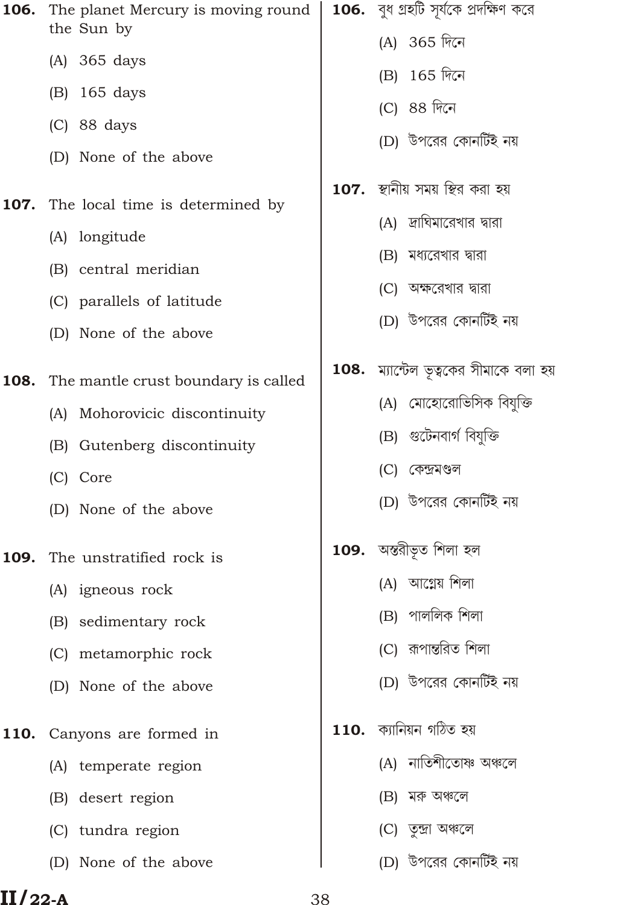| 106. | The planet Mercury is moving round<br>the Sun by | $106.$ বুধ গ্রহটি সূর্যকে প্রদক্ষিণ করে |
|------|--------------------------------------------------|-----------------------------------------|
|      | (A) 365 days                                     | (A) 365 দিনে                            |
|      | (B) 165 days                                     | (B) 165 দিনে                            |
|      | $(C)$ 88 days                                    | (C) 88 দিনে                             |
|      | (D) None of the above                            | (D) উপরের কোনর্টিই নয়                  |
| 107. | The local time is determined by                  |                                         |
|      | (A) longitude                                    | (A) দ্রাঘিমারেখার দ্বারা                |
|      | (B) central meridian                             | (B) মধ্যরেখার দারা                      |
|      | (C) parallels of latitude                        | (C) অক্ষরেখার দ্বারা                    |
|      | (D) None of the above                            | (D) উপরের কোনর্টিই নয়                  |
| 108. | The mantle crust boundary is called              | 108. ম্যান্টেল ভূত্বকের সীমাকে বলা হয়  |
|      | (A) Mohorovicic discontinuity                    | (A) মোহোরোভিসিক বিযুক্তি                |
|      | (B) Gutenberg discontinuity                      | (B) গুটেনবাৰ্গ বিযুক্তি                 |
|      | (C) Core                                         | (C) কেন্দ্ৰমণ্ডল                        |
|      | (D) None of the above                            | (D) উপরের কোনর্টিই নয়                  |
| 109. | The unstratified rock is                         | 109. অন্তরীভূত শিলা হল                  |
|      | (A) igneous rock                                 | (A) আগ্নেয় শিলা                        |
|      | (B) sedimentary rock                             | (B) পাললিক শিলা                         |
|      | (C) metamorphic rock                             | (C) রূপান্তরিত শিলা                     |
|      | (D) None of the above                            | (D) উপরের কোনর্টিই নয়                  |
| 110. | Canyons are formed in                            | $110.$ ক্যানিয়ন গঠিত হয়               |
|      | (A) temperate region                             | (A) নাতিশীতোষ্ণ অঞ্চলে                  |
|      | (B) desert region                                | মরু অঞ্চলে<br>(B)                       |
|      | (C) tundra region                                | (C) তুন্দ্ৰা অঞ্চলে                     |
|      | (D) None of the above                            | (D) উপরের কোনর্টিই নয়                  |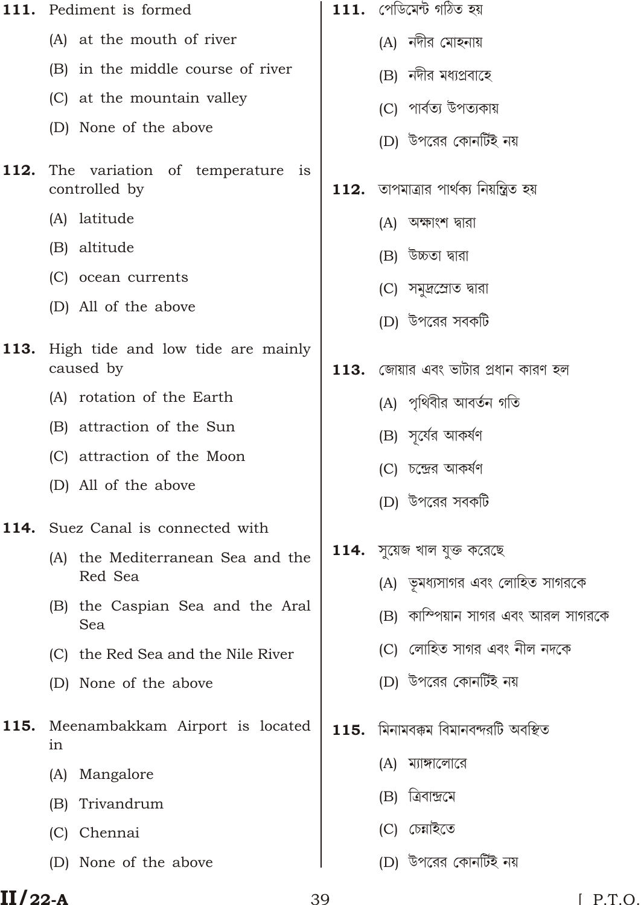| 111. | Pediment is formed                               | $111.$ পেডিমেন্ট গঠিত হয়                  |
|------|--------------------------------------------------|--------------------------------------------|
|      | (A) at the mouth of river                        | (A) নদীর মোহনায়                           |
|      | (B) in the middle course of river                | (B) নদীর মধ্যপ্রবাহে                       |
|      | (C) at the mountain valley                       | (C) পাৰ্বত্য উপত্যকায়                     |
|      | (D) None of the above                            | (D) উপরের কোনর্টিই নয়                     |
| 112. | The variation of temperature is<br>controlled by | $112.$ তাপমাত্রার পার্থক্য নিয়ন্ত্রিত হয় |
|      | (A) latitude                                     | (A) অক্ষাংশ দ্বারা                         |
|      | (B) altitude                                     | (B) উচ্চতা দ্বারা                          |
|      | (C) ocean currents                               | (C) সমুদ্রশ্রোত দ্বারা                     |
|      | (D) All of the above                             | (D) উপরের সবকটি                            |
| 113. | High tide and low tide are mainly<br>caused by   | $113.$ জোয়ার এবং ভাটার প্রধান কারণ হল     |
|      | (A) rotation of the Earth                        | (A) পৃথিবীর আবর্তন গতি                     |
|      | (B) attraction of the Sun                        | (B) সূর্যের আকর্ষণ                         |
|      | (C) attraction of the Moon                       | (C) চন্দ্রের আকর্ষণ                        |
|      | (D) All of the above                             | (D) উপরের সবকটি                            |
| 114. | Suez Canal is connected with                     |                                            |
|      | the Mediterranean Sea and the<br>(A)             | $114.$ সুয়েজ খাল যুক্ত করেছে              |
|      | Red Sea                                          | (A)  ভূমধ্যসাগর এবং লোহিত সাগরকে           |
|      | (B) the Caspian Sea and the Aral<br>Sea          | (B) কাম্পিয়ান সাগর এবং আরল সাগরকে         |
|      | (C) the Red Sea and the Nile River               | (C) লোহিত সাগর এবং নীল নদকে                |
|      | (D) None of the above                            | (D) উপরের কোনর্টিই নয়                     |
| 115. | Meenambakkam Airport is located<br>in            | $\bf 115.$ মিনামবক্কম বিমানবন্দরটি অবস্থিত |
|      | Mangalore<br>(A)                                 | (A) ম্যাঙ্গালোরে                           |
|      | Trivandrum<br>(B)                                | ত্ৰিবান্দ্ৰমে<br>(B)                       |
|      | (C) Chennai                                      | (C) চেন্নাইতে                              |
|      | (D) None of the above                            | (D) উপরের কোনর্টিই নয়                     |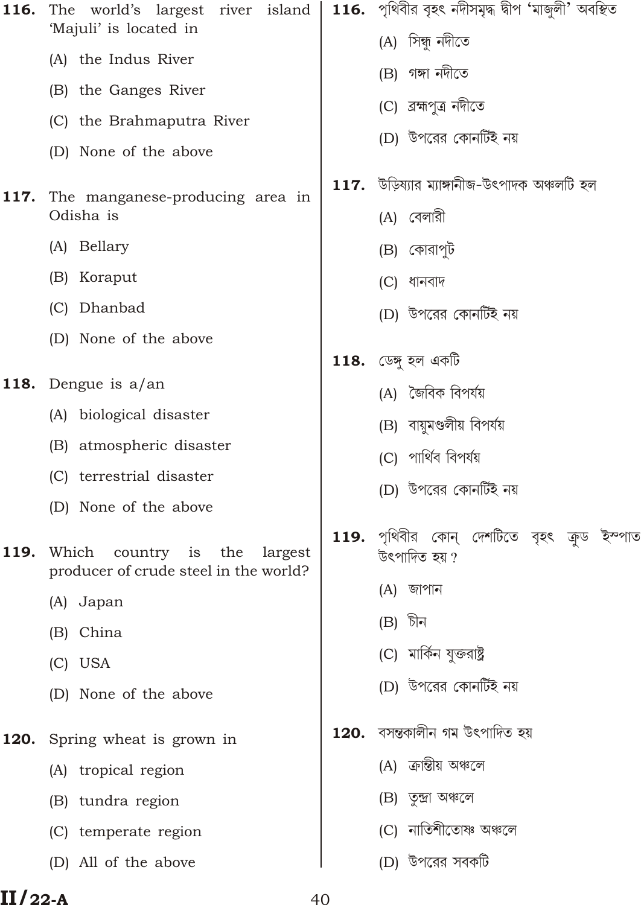| 116. | The world's largest river island<br>'Majuli' is located in                  |      | 116. পৃথিবীর বৃহৎ নদীসমৃদ্ধ দ্বীপ 'মাজুলী' অবস্থিত          |
|------|-----------------------------------------------------------------------------|------|-------------------------------------------------------------|
|      | (A) the Indus River                                                         |      | (A) সিন্ধু নদীতে                                            |
|      | (B) the Ganges River                                                        |      | (B) গঙ্গা নদীতে                                             |
|      | (C) the Brahmaputra River                                                   |      | (C) ব্ৰহ্মপুত্ৰ নদীতে                                       |
|      | (D) None of the above                                                       |      | (D) উপরের কোনর্টিই নয়                                      |
| 117. | The manganese-producing area in<br>Odisha is                                |      | 117. উড়িষ্যার ম্যাঙ্গানীজ-উৎপাদক অঞ্চলটি হল<br>(A) বেলারী  |
|      | (A) Bellary                                                                 |      | (B) কোরাপুট                                                 |
|      | (B) Koraput                                                                 |      | (C) ধানবাদ                                                  |
|      | (C) Dhanbad                                                                 |      | (D) উপরের কোনর্টিই নয়                                      |
|      | (D) None of the above                                                       |      | <b>118.</b> ডেঙ্গু হল একটি                                  |
| 118. | Dengue is $a$ /an                                                           |      | (A) জৈবিক বিপর্যয়                                          |
|      | (A) biological disaster                                                     |      | (B) বায়ুমণ্ডলীয় বিপর্যয়                                  |
|      | (B) atmospheric disaster                                                    |      | (C) পাৰ্থিব বিপৰ্যয়                                        |
|      | (C) terrestrial disaster                                                    |      | (D) উপরের কোনর্টিই নয়                                      |
|      | (D) None of the above                                                       |      |                                                             |
| 119. | Which<br>country is the<br>largest<br>producer of crude steel in the world? |      | 119. পৃথিবীর কোন্ দেশটিতে বৃহৎ ক্রুড ইস্পাত<br>উৎপাদিত হয়? |
|      | (A) Japan                                                                   |      | (A) জাপান                                                   |
|      | (B) China                                                                   |      | (B) চীন                                                     |
|      | (C) USA                                                                     |      | (C) মার্কিন যুক্তরাষ্ট্র                                    |
|      | (D) None of the above                                                       |      | (D) উপরের কোনর্টিই নয়                                      |
| 120. | Spring wheat is grown in                                                    | 120. | বসন্তকালীন গম উৎপাদিত হয়                                   |
|      | (A) tropical region                                                         |      | (A) ক্ৰান্তীয় অঞ্চলে                                       |
|      | (B) tundra region                                                           |      | (B) তুন্দ্ৰা অঞ্চলে                                         |
|      | (C) temperate region                                                        |      | (C) নাতিশীতোষ্ণ অঞ্চলে                                      |
|      | (D) All of the above                                                        |      | (D) উপরের সবকটি                                             |
|      |                                                                             |      |                                                             |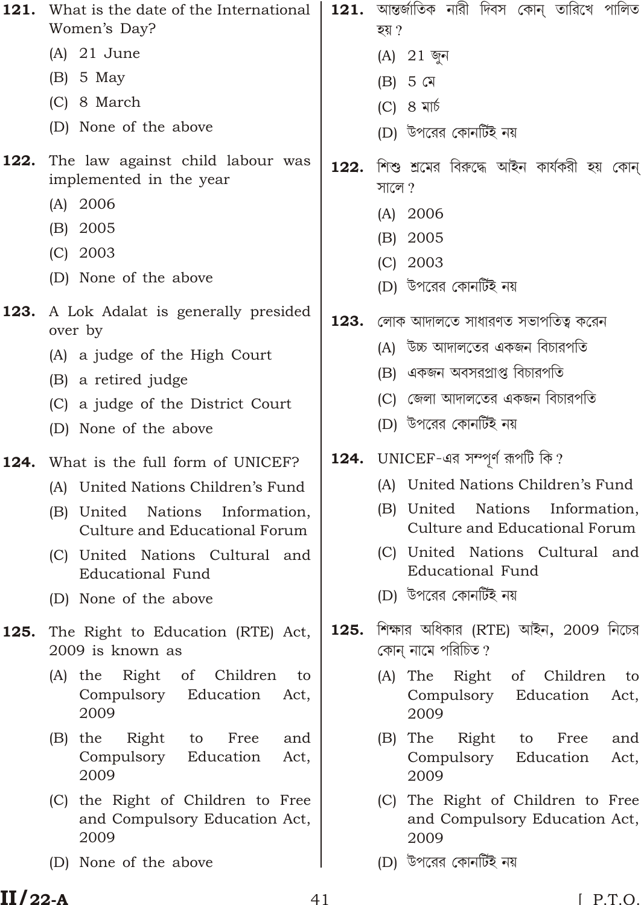| What is the date of the International<br>Women's Day?                              |      | 121. আন্তৰ্জাতিক নারী দিবস কোন্ তারিখে পালিত<br>হয় ?                               |
|------------------------------------------------------------------------------------|------|-------------------------------------------------------------------------------------|
| $(A)$ 21 June                                                                      |      | (A) 21 জুন                                                                          |
| $(B)$ 5 May                                                                        |      | $(B)$ 5 মে                                                                          |
| (C) 8 March                                                                        |      | $(C)$ 8 মাৰ্চ                                                                       |
| (D) None of the above                                                              |      | (D) উপরের কোনর্টিই নয়                                                              |
| The law against child labour was<br>implemented in the year                        | 122. | শিশু শ্রমের বিরুদ্ধে আইন কার্যকরী হয় কোন্<br>সালে ?                                |
| $(A)$ 2006                                                                         |      | $(A)$ 2006                                                                          |
| (B) 2005                                                                           |      | (B) 2005                                                                            |
| $(C)$ 2003                                                                         |      | $(C)$ 2003                                                                          |
| (D) None of the above                                                              |      | (D) উপরের কোনর্টিই নয়                                                              |
| A Lok Adalat is generally presided<br>over by                                      | 123. | লোক আদালতে সাধারণত সভাপতিত্ব করেন                                                   |
| (A) a judge of the High Court                                                      |      | (A) উচ্চ আদালতের একজন বিচারপতি                                                      |
| (B) a retired judge                                                                |      | (B) একজন অবসরপ্রাপ্ত বিচারপতি                                                       |
| (C) a judge of the District Court                                                  |      | (C) জেলা আদালতের একজন বিচারপতি                                                      |
| (D) None of the above                                                              |      | (D) উপরের কোনর্টিই নয়                                                              |
| What is the full form of UNICEF?                                                   |      | 124. UNICEF-এর সম্পূর্ণ রূপটি কি?                                                   |
| (A) United Nations Children's Fund                                                 |      | (A) United Nations Children's Fund                                                  |
| Nations<br>(B) United<br>Information,<br>Culture and Educational Forum             |      | Nations<br>(B) United<br>Information,<br>Culture and Educational Forum              |
| (C) United Nations Cultural and<br><b>Educational Fund</b>                         |      | (C) United Nations Cultural and<br><b>Educational Fund</b>                          |
| (D) None of the above                                                              |      | (D) উপরের কোনর্টিই নয়                                                              |
| The Right to Education (RTE) Act,<br>2009 is known as                              | 125. | শিক্ষার অধিকার (RTE) আইন, 2009 নিচের<br>কোন নামে পরিচিত ?                           |
| Right<br>Children<br>$(A)$ the<br>of<br>to<br>Compulsory Education<br>Act,<br>2009 |      | of Children<br>$(A)$ The<br>Right<br>to<br>Education<br>Compulsory<br>Act,<br>2009  |
| Right<br>Free<br>$(B)$ the<br>to<br>and<br>Compulsory<br>Education<br>Act,<br>2009 |      | The<br>Right<br>Free<br>(B)<br>to<br>and<br>Education<br>Compulsory<br>Act,<br>2009 |
| (C) the Right of Children to Free<br>and Compulsory Education Act,<br>2009         |      | (C) The Right of Children to Free<br>and Compulsory Education Act,<br>2009          |
|                                                                                    |      |                                                                                     |
|                                                                                    |      |                                                                                     |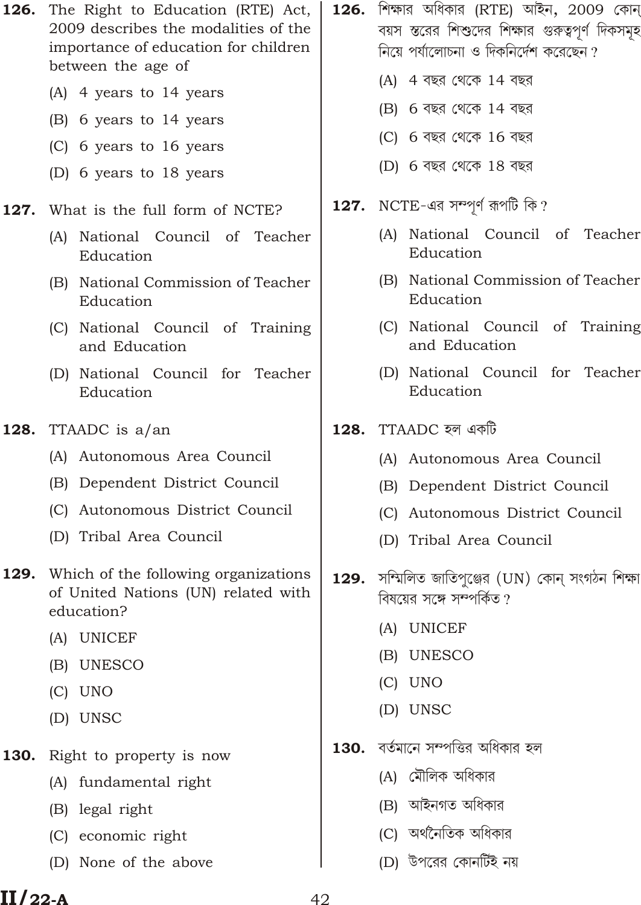- The Right to Education (RTE) Act, 126. 2009 describes the modalities of the importance of education for children between the age of
	- (A) 4 years to 14 years
	- (B) 6 years to 14 years
	- (C) 6 years to 16 years
	- (D) 6 years to 18 years
- 127. What is the full form of NCTE?
	- (A) National Council of Teacher Education
	- (B) National Commission of Teacher Education
	- (C) National Council of Training and Education
	- (D) National Council for Teacher Education
- 128. TTAADC is a/an
	- (A) Autonomous Area Council
	- (B) Dependent District Council
	- (C) Autonomous District Council
	- (D) Tribal Area Council
- **129.** Which of the following organizations of United Nations (UN) related with education?
	- (A) UNICEF
	- (B) UNESCO
	- $(C)$  UNO
	- (D) UNSC
- 130. Right to property is now
	- (A) fundamental right
	- (B) legal right
	- (C) economic right
	- (D) None of the above
- $126.$  শিক্ষার অধিকার (RTE) আইন,  $2009$  কোন বয়স স্তরের শিশুদের শিক্ষার গুরুত্বপূর্ণ দিকসমূহ নিয়ে পর্যালোচনা ও দিকনির্দেশ করেছেন?
	- (A) 4 বছর থেকে 14 বছর
	- (B) 6 বছর থেকে 14 বছর
	- (C) 6 বছর থেকে 16 বছর
	- (D) 6 বছর থেকে 18 বছর
- NCTE-এর সম্পূর্ণ রূপটি কি? 127.
	- (A) National Council of Teacher Education
	- (B) National Commission of Teacher Education
	- (C) National Council of Training and Education
	- (D) National Council for Teacher Education
- **128.** TTAADC হল একটি
	- (A) Autonomous Area Council
	- (B) Dependent District Council
	- (C) Autonomous District Council
	- (D) Tribal Area Council
- 129. সম্মিলিত জাতিপুঞ্জের (UN) কোন্ সংগঠন শিক্ষা বিষয়ের সঙ্গে সম্পর্কিত?
	- (A) UNICEF
	- (B) UNESCO
	- $(C)$  UNO
	- (D) UNSC
- 130. বর্তমানে সম্পত্তির অধিকার হল
	- (A) মৌলিক অধিকার
	- (B) আইনগত অধিকার
	- (C) অর্থনৈতিক অধিকার
	- (D) উপরের কোনর্টিই নয়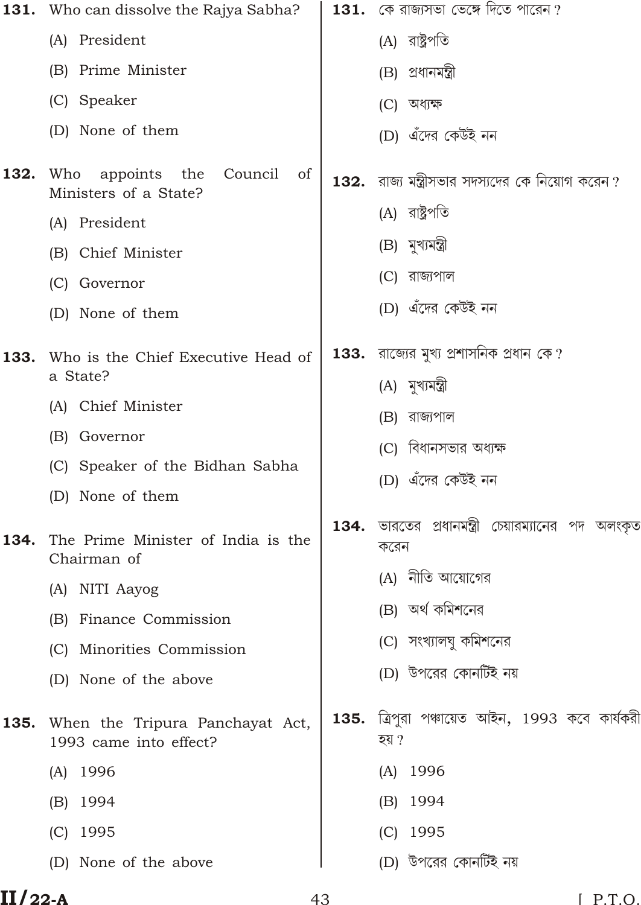|      | <b>131.</b> Who can dissolve the Rajya Sabha?                            | 131. | কে রাজ্যসভা ভেঙ্গে দিতে পারেন ?                      |
|------|--------------------------------------------------------------------------|------|------------------------------------------------------|
|      | (A) President                                                            |      | (A) রাষ্ট্রপতি                                       |
|      | (B) Prime Minister                                                       |      | (B) প্ৰধানমন্ত্ৰী                                    |
|      | (C) Speaker                                                              |      | (C) অধ্যক্ষ                                          |
|      | (D) None of them                                                         |      | (D) এঁদের কেউই নন                                    |
| 132. | Who<br>appoints the<br>Council<br><sub>of</sub><br>Ministers of a State? | 132. | রাজ্য মন্ত্রীসভার সদস্যদের কে নিয়োগ করেন ?          |
|      | (A) President                                                            |      | (A) রাষ্ট্রপতি                                       |
|      | (B) Chief Minister                                                       |      | (B) মুখ্যমন্ত্ৰী                                     |
|      | (C) Governor                                                             |      | (C) রাজ্যপাল                                         |
|      | (D) None of them                                                         |      | (D) এঁদের কেউই নন                                    |
| 133. | Who is the Chief Executive Head of                                       |      | $133.$ রাজ্যের মুখ্য প্রশাসনিক প্রধান কে ?           |
|      | a State?                                                                 |      | (A) মুখ্যমন্ত্ৰী                                     |
|      | (A) Chief Minister                                                       |      | (B) রাজ্যপাল                                         |
|      | (B) Governor                                                             |      | (C) বিধানসভার অধ্ <del>যক্ষ</del>                    |
|      | (C) Speaker of the Bidhan Sabha                                          |      | (D) এঁদের কেউই নন                                    |
|      | (D) None of them                                                         |      |                                                      |
| 134. | The Prime Minister of India is the<br>Chairman of                        | 134. | ভারতের প্রধানমন্ত্রী চেয়ারম্যানের পদ অলংকৃত<br>করেন |
|      | (A) NITI Aayog                                                           |      | নীতি আয়োগের<br>(A)                                  |
|      | Finance Commission<br>(B)                                                |      | (B) অর্থ কমিশনের                                     |
|      | (C) Minorities Commission                                                |      | (C) সংখ্যালঘু কমিশনের                                |
|      | (D) None of the above                                                    |      | (D) উপরের কোনর্টিই নয়                               |
| 135. | When the Tripura Panchayat Act,<br>1993 came into effect?                | 135. | ত্রিপুরা পঞ্চায়েত আইন, 1993 কবে কার্যকরী<br>হয় ?   |
|      | 1996<br>(A)                                                              |      | (A) 1996                                             |
|      | 1994<br>(B)                                                              |      | 1994<br>(B)                                          |
|      | 1995<br>(C)                                                              |      | 1995<br>(C)                                          |
|      | (D) None of the above                                                    |      | (D) উপরের কোনর্টিই নয়                               |
|      |                                                                          |      |                                                      |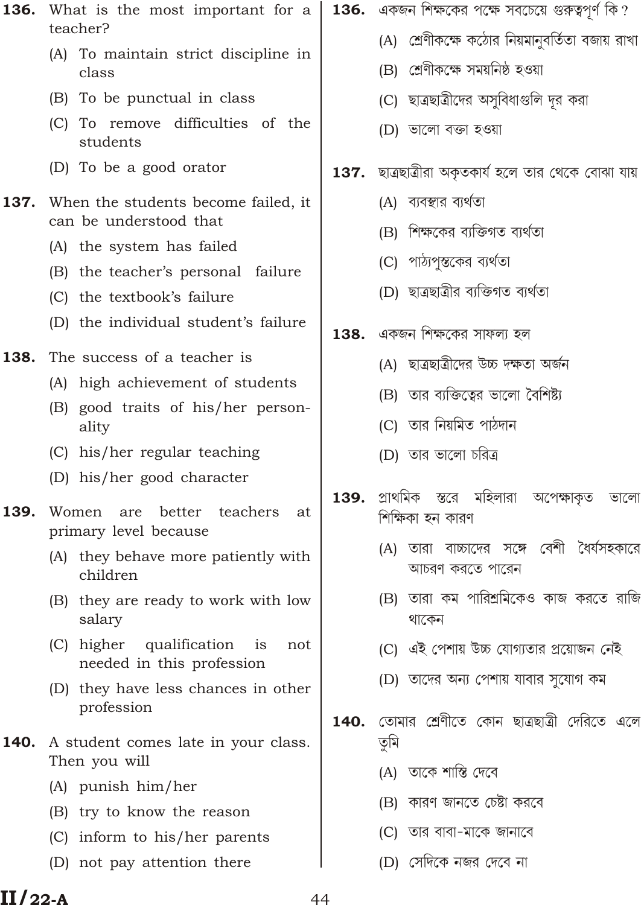- What is the most important for a 136. teacher?
	- (A) To maintain strict discipline in class
	- (B) To be punctual in class
	- (C) To remove difficulties of the students
	- (D) To be a good orator
- 137. When the students become failed, it can be understood that
	- (A) the system has failed
	- (B) the teacher's personal failure
	- (C) the textbook's failure
	- (D) the individual student's failure
- 138. The success of a teacher is
	- (A) high achievement of students
	- (B) good traits of his/her personality
	- (C) his/her regular teaching
	- (D) his/her good character
- 139. Women are better teachers at primary level because
	- (A) they behave more patiently with children
	- (B) they are ready to work with low salary
	- (C) higher qualification is not needed in this profession
	- (D) they have less chances in other profession
- 140. A student comes late in your class. Then you will
	- (A) punish him/her
	- (B) try to know the reason
	- (C) inform to his/her parents
	- (D) not pay attention there
- **136.** একজন শিক্ষকের পক্ষে সবচেয়ে গুরুত্বপূর্ণ কি?
	- (A) শ্রেণীকক্ষে কঠোর নিয়মানবর্তিতা বজায় রাখা
	- (B) শ্ৰেণীকক্ষে সময়নিষ্ঠ হওয়া
	- (C) ছাত্রছাত্রীদের অসুবিধাগুলি দূর করা
	- (D) ভালো বক্তা হওয়া
- ছাত্ৰছাত্ৰীরা অকৃতকার্য হলে তার থেকে বোঝা যায় 137.
	- (A) ব্যবস্থার ব্যর্থতা
	- (B) শিক্ষকের ব্যক্তিগত ব্যর্থতা
	- (C) পাঠ্যপুস্তকের ব্যর্থতা
	- (D) ছাত্ৰছাত্ৰীর ব্যক্তিগত ব্যৰ্থতা
- 138. একজন শিক্ষকের সাফল্য হল
	- (A) ছাত্ৰছাত্ৰীদের উচ্চ দক্ষতা অৰ্জন
	- (B) তার ব্যক্তিত্বের ভালো বৈশিষ্ট্য
	- (C) তার নিয়মিত পাঠদান
	- (D) তার ভালো চরিত্র
- স্তরে মহিলারা প্ৰাথমিক 139. অপেক্ষাকত ভালো শিক্ষিকা হন কারণ
	- (A) তারা বাচ্চাদের সঙ্গে বেশী ধৈর্যসহকারে আচরণ করতে পারেন
	- (B) তারা কম পারিশ্রমিকেও কাজ করতে রাজি থাকেন
	- (C) এই পেশায় উচ্চ যোগ্যতার প্রয়োজন নেই
	- (D) তাদের অন্য পেশায় যাবার সুযোগ কম
- তোমার শ্রেণীতে কোন ছাত্রছাত্রী দেরিতে এলে  $140.$ তৃমি
	- (A) তাকে শাস্তি দেবে
	- (B) কারণ জানতে চেষ্টা করবে
	- (C) তার বাবা-মাকে জানাবে
	- (D) সেদিকে নজর দেবে না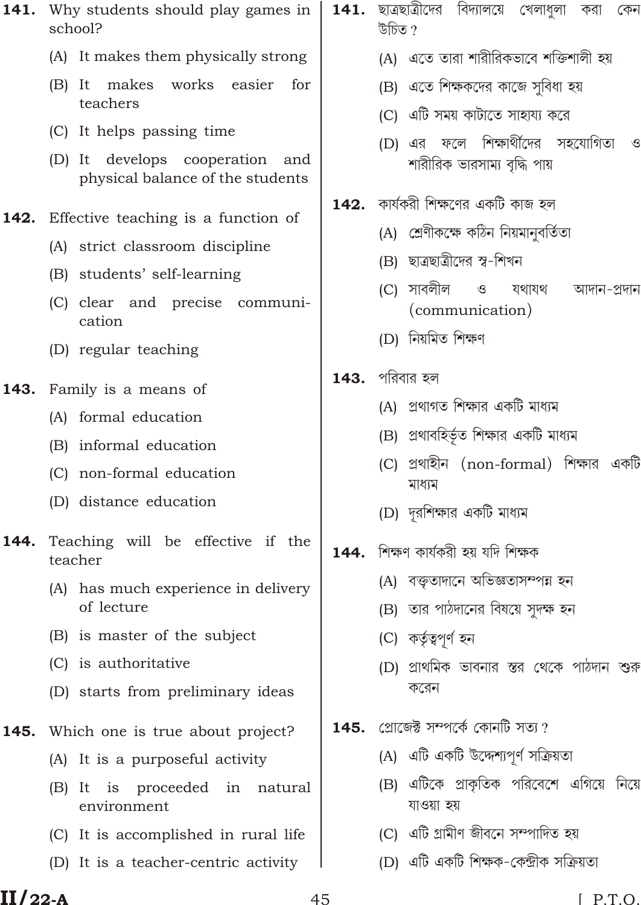- 141. Why students should play games in school?
	- (A) It makes them physically strong
	- (B) It makes works easier for teachers
	- (C) It helps passing time
	- (D) It develops cooperation and physical balance of the students

#### 142. Effective teaching is a function of

- (A) strict classroom discipline
- (B) students' self-learning
- (C) clear and precise communication
- (D) regular teaching
- 143. Family is a means of
	- (A) formal education
	- (B) informal education
	- (C) non-formal education
	- (D) distance education
- 144. Teaching will be effective if the teacher
	- (A) has much experience in delivery of lecture
	- (B) is master of the subject
	- (C) is authoritative
	- (D) starts from preliminary ideas
- 145. Which one is true about project?
	- (A) It is a purposeful activity
	- (B) It is proceeded in natural environment
	- (C) It is accomplished in rural life
	- (D) It is a teacher-centric activity
- 141. ছাত্রছাত্রীদের বিদ্যালয়ে খেলাধুলা করা কেন উচিত ?
	- (A) এতে তারা শারীরিকভাবে শক্তিশালী হয়
	- (B) এতে শিক্ষকদের কাজে সবিধা হয়
	- (C) এটি সময় কাটাতে সাহায্য করে
	- (D) এর ফলে শিক্ষার্থীদের সহযোগিতা  $\mathcal{S}$ শারীরিক ভারসাম্য বৃদ্ধি পায়
- $142.$  কার্যকরী শিক্ষণের একটি কাজ হল
	- (A) শ্ৰেণীকক্ষে কঠিন নিয়মানুবৰ্তিতা
	- (B) ছাত্ৰছাত্ৰীদের স্ব-শিখন
	- (C) সাবলীল  $\circ$ যথাযথ আদান-প্ৰদান (communication)
	- (D) নিয়মিত শিক্ষণ
- $143.$  পরিবার হল
	- (A) প্রথাগত শিক্ষার একটি মাধ্যম
	- (B) প্রথাবহির্ভূত শিক্ষার একটি মাধ্যম
	- (C) প্রথাহীন (non-formal) শিক্ষার একটি মাধ্যম
	- (D) দুরশিক্ষার একটি মাধ্যম
- 144. শিক্ষণ কাৰ্যকরী হয় যদি শিক্ষক
	- (A) বক্তৃতাদানে অভিজ্ঞতাসম্পন্ন হন
	- (B) তার পাঠদানের বিষয়ে সুদক্ষ হন
	- (C) কৰ্তৃত্বপূৰ্ণ হন
	- (D) প্রাথমিক ভাবনার স্তর থেকে পাঠদান শুরু করেন
- $145$ . প্রোজেঈ সম্পর্কে কোনটি সত্য ?
	- (A) এটি একটি উদ্দেশ্যপর্ণ সক্রিয়তা
	- (B) এটিকে প্রাকৃতিক পরিবেশে এগিয়ে নিয়ে যাওয়া হয়
	- (C) এটি গ্ৰামীণ জীবনে সম্পাদিত হয়
	- (D) এটি একটি শিক্ষক-কেন্দ্ৰীক সক্ৰিয়তা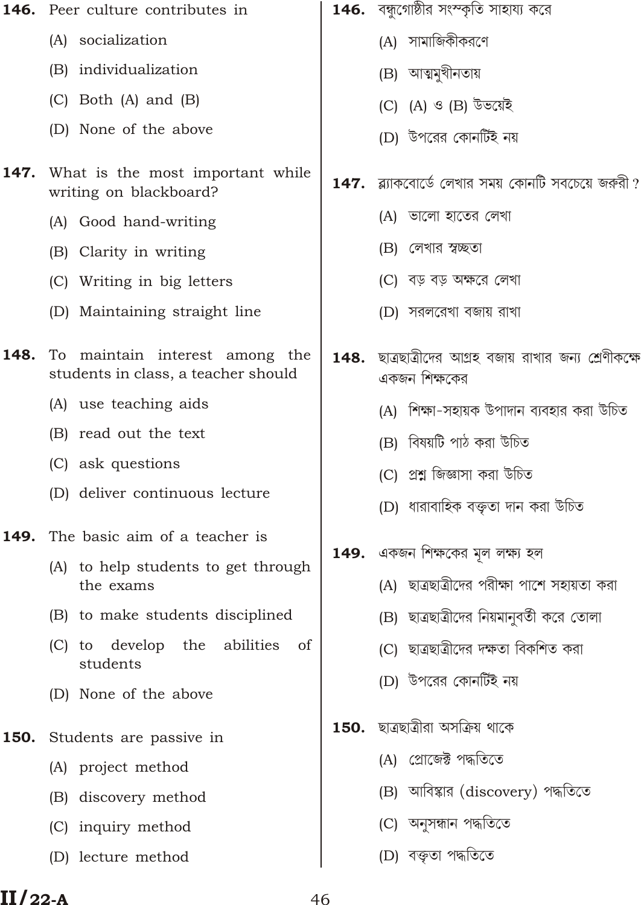| 146. Peer culture contributes in                                      | 146.                           | বন্ধুগোষ্ঠীর সংস্কৃতি সাহায্য করে                                               |
|-----------------------------------------------------------------------|--------------------------------|---------------------------------------------------------------------------------|
| (A) socialization                                                     |                                | (A) সামাজিকীকরণে                                                                |
| (B) individualization                                                 |                                | (B) আত্মমুখীনতায়                                                               |
| $(C)$ Both $(A)$ and $(B)$                                            |                                | (C) (A) ও (B) উভয়েই                                                            |
| (D) None of the above                                                 |                                | (D) উপরের কোনর্টিই নয়                                                          |
| What is the most important while<br>writing on blackboard?            | 147.                           | ব্ল্যাকবোর্ডে লেখার সময় কোনটি সবচেয়ে জরুরী ?                                  |
| (A) Good hand-writing                                                 |                                | (A) ভালো হাতের লেখা                                                             |
| (B) Clarity in writing                                                |                                | (B) লেখার স্বচ্ছতা                                                              |
| (C) Writing in big letters                                            |                                | (C) বড় বড় অক্ষরে লেখা                                                         |
| (D) Maintaining straight line                                         |                                | (D) সরলরেখা বজায় রাখা                                                          |
| To maintain interest among the<br>students in class, a teacher should |                                | <b>148.</b> ছাত্ৰছাত্ৰীদের আগ্ৰহ বজায় রাখার জন্য শ্রেণীকক্ষে<br>একজন শিক্ষকের  |
| (A) use teaching aids                                                 |                                | (A) শিক্ষা-সহায়ক উপাদান ব্যবহার করা উচিত                                       |
| (B) read out the text                                                 |                                | (B) বিষয়টি পাঠ করা উচিত                                                        |
| (C) ask questions                                                     |                                | (C) প্ৰশ্ন জিজ্ঞাসা করা উচিত                                                    |
|                                                                       |                                | (D)  ধারাবাহিক বক্তৃতা দান করা উচিত                                             |
| The basic aim of a teacher is                                         |                                |                                                                                 |
| (A) to help students to get through<br>the exams                      |                                | 149. একজন শিক্ষকের মূল লক্ষ্য হল<br>(A) ছাত্রছাত্রীদের পরীক্ষা পাশে সহায়তা করা |
| (B) to make students disciplined                                      |                                | (B) ছাত্রছাত্রীদের নিয়মানুবর্তী করে তোলা                                       |
| to develop the<br>abilities<br>of<br>(C)<br>students                  |                                | (C) ছাত্ৰছাত্ৰীদের দক্ষতা বিকশিত করা                                            |
| (D) None of the above                                                 |                                | (D) উপরের কোনর্টিই নয়                                                          |
| Students are passive in                                               | 150.                           | ছাত্ৰছাত্ৰীরা অসক্ৰিয় থাকে                                                     |
| (A) project method                                                    |                                | (A) গ্রোজেক্ট পদ্ধতিতে                                                          |
| (B) discovery method                                                  |                                | (B) আবিষ্কার (discovery) পদ্ধতিতে                                               |
| (C) inquiry method                                                    |                                | (C) অনুসন্ধান পদ্ধতিতে                                                          |
| (D) lecture method                                                    |                                | (D) বক্তৃতা পদ্ধতিতে                                                            |
|                                                                       | (D) deliver continuous lecture |                                                                                 |